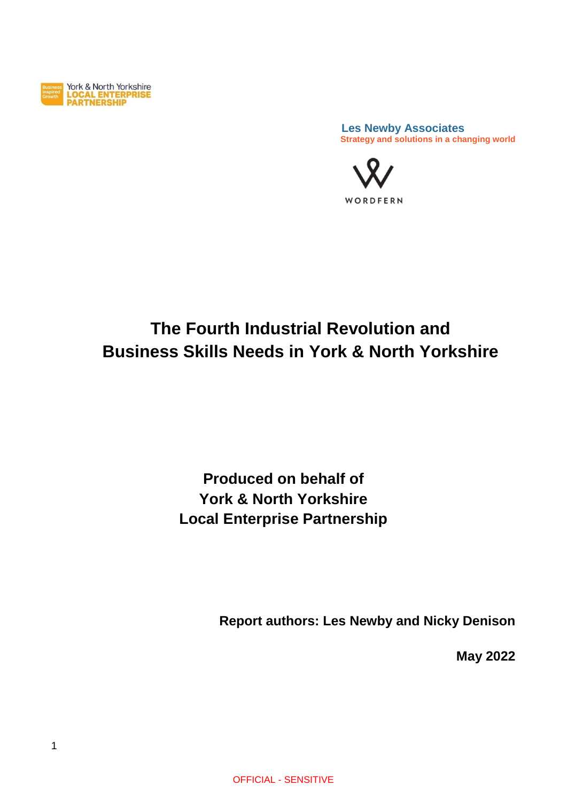

 **Les Newby Associates Strategy and solutions in a changing world**



# **The Fourth Industrial Revolution and Business Skills Needs in York & North Yorkshire**

# **Produced on behalf of York & North Yorkshire Local Enterprise Partnership**

**Report authors: Les Newby and Nicky Denison**

**May 2022**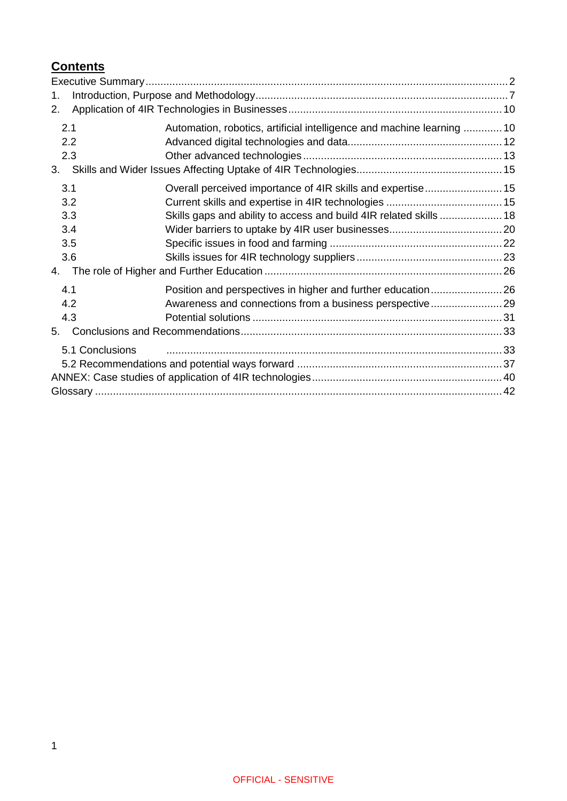# **Contents**

| 1.              |                                                                        |  |
|-----------------|------------------------------------------------------------------------|--|
| 2.              |                                                                        |  |
| 2.1             | Automation, robotics, artificial intelligence and machine learning  10 |  |
| 2.2             |                                                                        |  |
| 2.3             |                                                                        |  |
| 3.              |                                                                        |  |
| 3.1             | Overall perceived importance of 4IR skills and expertise 15            |  |
| 3.2             |                                                                        |  |
| 3.3             | Skills gaps and ability to access and build 4IR related skills  18     |  |
| 3.4             |                                                                        |  |
| 3.5             |                                                                        |  |
| 3.6             |                                                                        |  |
| 4.              |                                                                        |  |
| 4.1             | Position and perspectives in higher and further education 26           |  |
| 4.2             |                                                                        |  |
| 4.3             |                                                                        |  |
| 5.              |                                                                        |  |
| 5.1 Conclusions |                                                                        |  |
|                 |                                                                        |  |
|                 |                                                                        |  |
|                 |                                                                        |  |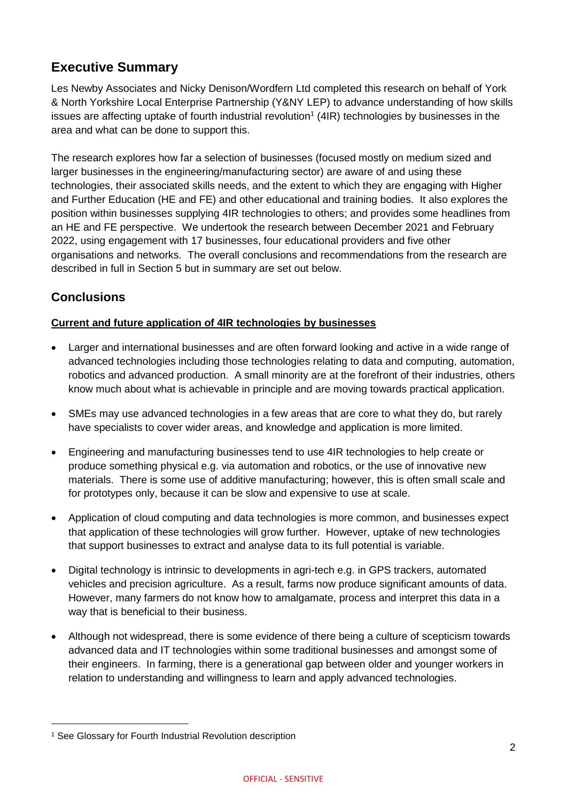# <span id="page-2-0"></span>**Executive Summary**

Les Newby Associates and Nicky Denison/Wordfern Ltd completed this research on behalf of York & North Yorkshire Local Enterprise Partnership (Y&NY LEP) to advance understanding of how skills issues are affecting uptake of fourth industrial revolution<sup>1</sup> (4IR) technologies by businesses in the area and what can be done to support this.

The research explores how far a selection of businesses (focused mostly on medium sized and larger businesses in the engineering/manufacturing sector) are aware of and using these technologies, their associated skills needs, and the extent to which they are engaging with Higher and Further Education (HE and FE) and other educational and training bodies. It also explores the position within businesses supplying 4IR technologies to others; and provides some headlines from an HE and FE perspective. We undertook the research between December 2021 and February 2022, using engagement with 17 businesses, four educational providers and five other organisations and networks. The overall conclusions and recommendations from the research are described in full in Section 5 but in summary are set out below.

### **Conclusions**

### **Current and future application of 4IR technologies by businesses**

- Larger and international businesses and are often forward looking and active in a wide range of advanced technologies including those technologies relating to data and computing, automation, robotics and advanced production. A small minority are at the forefront of their industries, others know much about what is achievable in principle and are moving towards practical application.
- SMEs may use advanced technologies in a few areas that are core to what they do, but rarely have specialists to cover wider areas, and knowledge and application is more limited.
- Engineering and manufacturing businesses tend to use 4IR technologies to help create or produce something physical e.g. via automation and robotics, or the use of innovative new materials. There is some use of additive manufacturing; however, this is often small scale and for prototypes only, because it can be slow and expensive to use at scale.
- Application of cloud computing and data technologies is more common, and businesses expect that application of these technologies will grow further. However, uptake of new technologies that support businesses to extract and analyse data to its full potential is variable.
- Digital technology is intrinsic to developments in agri-tech e.g. in GPS trackers, automated vehicles and precision agriculture. As a result, farms now produce significant amounts of data. However, many farmers do not know how to amalgamate, process and interpret this data in a way that is beneficial to their business.
- Although not widespread, there is some evidence of there being a culture of scepticism towards advanced data and IT technologies within some traditional businesses and amongst some of their engineers. In farming, there is a generational gap between older and younger workers in relation to understanding and willingness to learn and apply advanced technologies.

<sup>1</sup> See Glossary for Fourth Industrial Revolution description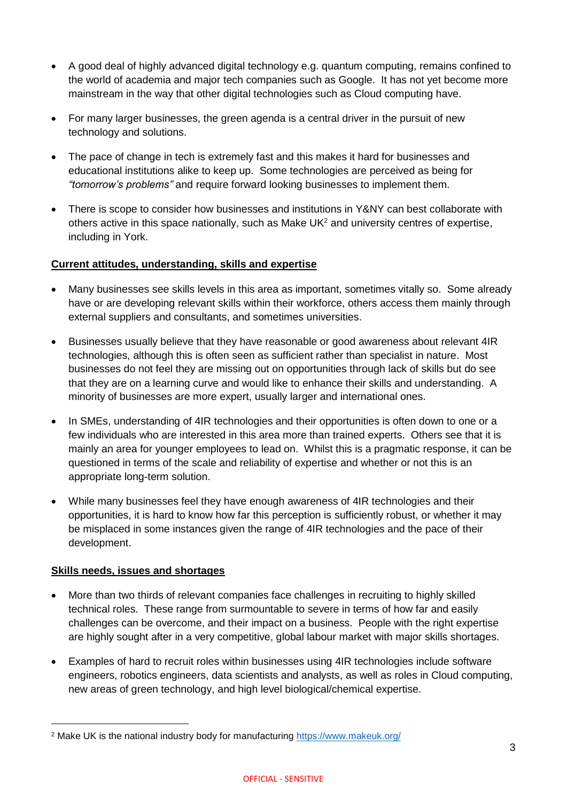- A good deal of highly advanced digital technology e.g. quantum computing, remains confined to the world of academia and major tech companies such as Google. It has not yet become more mainstream in the way that other digital technologies such as Cloud computing have.
- For many larger businesses, the green agenda is a central driver in the pursuit of new technology and solutions.
- The pace of change in tech is extremely fast and this makes it hard for businesses and educational institutions alike to keep up. Some technologies are perceived as being for *"tomorrow's problems"* and require forward looking businesses to implement them.
- There is scope to consider how businesses and institutions in Y&NY can best collaborate with others active in this space nationally, such as Make UK<sup>2</sup> and university centres of expertise, including in York.

### **Current attitudes, understanding, skills and expertise**

- Many businesses see skills levels in this area as important, sometimes vitally so. Some already have or are developing relevant skills within their workforce, others access them mainly through external suppliers and consultants, and sometimes universities.
- Businesses usually believe that they have reasonable or good awareness about relevant 4IR technologies, although this is often seen as sufficient rather than specialist in nature. Most businesses do not feel they are missing out on opportunities through lack of skills but do see that they are on a learning curve and would like to enhance their skills and understanding. A minority of businesses are more expert, usually larger and international ones.
- In SMEs, understanding of 4IR technologies and their opportunities is often down to one or a few individuals who are interested in this area more than trained experts. Others see that it is mainly an area for younger employees to lead on. Whilst this is a pragmatic response, it can be questioned in terms of the scale and reliability of expertise and whether or not this is an appropriate long-term solution.
- While many businesses feel they have enough awareness of 4IR technologies and their opportunities, it is hard to know how far this perception is sufficiently robust, or whether it may be misplaced in some instances given the range of 4IR technologies and the pace of their development.

### **Skills needs, issues and shortages**

- More than two thirds of relevant companies face challenges in recruiting to highly skilled technical roles. These range from surmountable to severe in terms of how far and easily challenges can be overcome, and their impact on a business. People with the right expertise are highly sought after in a very competitive, global labour market with major skills shortages.
- Examples of hard to recruit roles within businesses using 4IR technologies include software engineers, robotics engineers, data scientists and analysts, as well as roles in Cloud computing, new areas of green technology, and high level biological/chemical expertise.

<sup>2</sup> Make UK is the national industry body for manufacturing<https://www.makeuk.org/>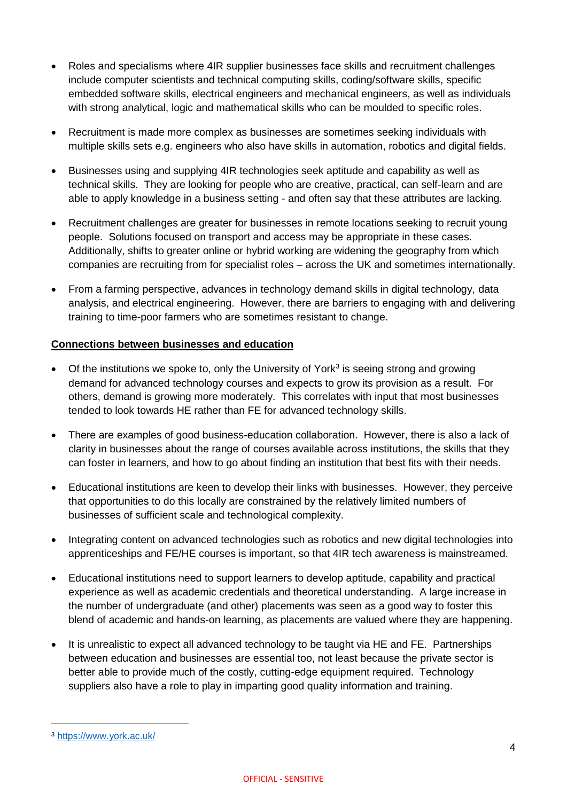- Roles and specialisms where 4IR supplier businesses face skills and recruitment challenges include computer scientists and technical computing skills, coding/software skills, specific embedded software skills, electrical engineers and mechanical engineers, as well as individuals with strong analytical, logic and mathematical skills who can be moulded to specific roles.
- Recruitment is made more complex as businesses are sometimes seeking individuals with multiple skills sets e.g. engineers who also have skills in automation, robotics and digital fields.
- Businesses using and supplying 4IR technologies seek aptitude and capability as well as technical skills. They are looking for people who are creative, practical, can self-learn and are able to apply knowledge in a business setting - and often say that these attributes are lacking.
- Recruitment challenges are greater for businesses in remote locations seeking to recruit young people. Solutions focused on transport and access may be appropriate in these cases. Additionally, shifts to greater online or hybrid working are widening the geography from which companies are recruiting from for specialist roles – across the UK and sometimes internationally.
- From a farming perspective, advances in technology demand skills in digital technology, data analysis, and electrical engineering. However, there are barriers to engaging with and delivering training to time-poor farmers who are sometimes resistant to change.

### **Connections between businesses and education**

- Of the institutions we spoke to, only the University of York<sup>3</sup> is seeing strong and growing demand for advanced technology courses and expects to grow its provision as a result. For others, demand is growing more moderately. This correlates with input that most businesses tended to look towards HE rather than FE for advanced technology skills.
- There are examples of good business-education collaboration. However, there is also a lack of clarity in businesses about the range of courses available across institutions, the skills that they can foster in learners, and how to go about finding an institution that best fits with their needs.
- Educational institutions are keen to develop their links with businesses. However, they perceive that opportunities to do this locally are constrained by the relatively limited numbers of businesses of sufficient scale and technological complexity.
- Integrating content on advanced technologies such as robotics and new digital technologies into apprenticeships and FE/HE courses is important, so that 4IR tech awareness is mainstreamed.
- Educational institutions need to support learners to develop aptitude, capability and practical experience as well as academic credentials and theoretical understanding. A large increase in the number of undergraduate (and other) placements was seen as a good way to foster this blend of academic and hands-on learning, as placements are valued where they are happening.
- It is unrealistic to expect all advanced technology to be taught via HE and FE. Partnerships between education and businesses are essential too, not least because the private sector is better able to provide much of the costly, cutting-edge equipment required. Technology suppliers also have a role to play in imparting good quality information and training.

<sup>3</sup> <https://www.york.ac.uk/>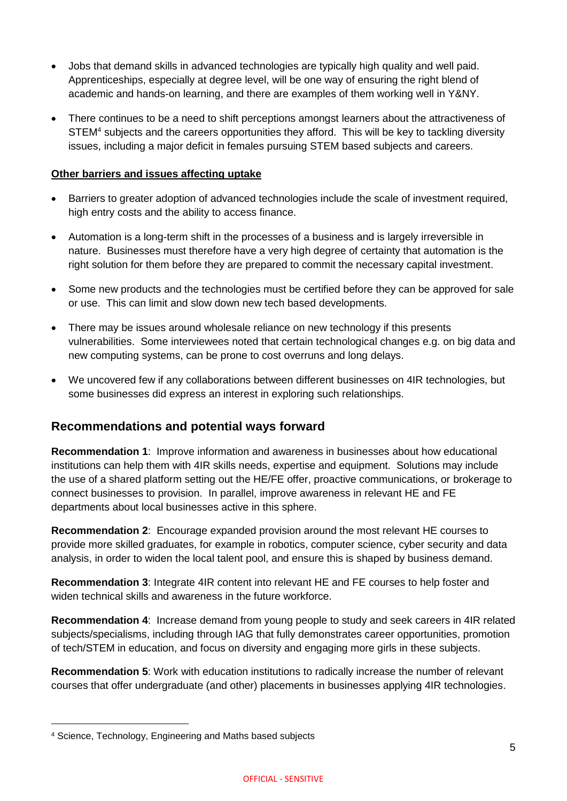- Jobs that demand skills in advanced technologies are typically high quality and well paid. Apprenticeships, especially at degree level, will be one way of ensuring the right blend of academic and hands-on learning, and there are examples of them working well in Y&NY.
- There continues to be a need to shift perceptions amongst learners about the attractiveness of STEM<sup>4</sup> subjects and the careers opportunities they afford. This will be key to tackling diversity issues, including a major deficit in females pursuing STEM based subjects and careers.

#### **Other barriers and issues affecting uptake**

- Barriers to greater adoption of advanced technologies include the scale of investment required, high entry costs and the ability to access finance.
- Automation is a long-term shift in the processes of a business and is largely irreversible in nature. Businesses must therefore have a very high degree of certainty that automation is the right solution for them before they are prepared to commit the necessary capital investment.
- Some new products and the technologies must be certified before they can be approved for sale or use. This can limit and slow down new tech based developments.
- There may be issues around wholesale reliance on new technology if this presents vulnerabilities. Some interviewees noted that certain technological changes e.g. on big data and new computing systems, can be prone to cost overruns and long delays.
- We uncovered few if any collaborations between different businesses on 4IR technologies, but some businesses did express an interest in exploring such relationships.

### **Recommendations and potential ways forward**

**Recommendation 1**: Improve information and awareness in businesses about how educational institutions can help them with 4IR skills needs, expertise and equipment. Solutions may include the use of a shared platform setting out the HE/FE offer, proactive communications, or brokerage to connect businesses to provision. In parallel, improve awareness in relevant HE and FE departments about local businesses active in this sphere.

**Recommendation 2**: Encourage expanded provision around the most relevant HE courses to provide more skilled graduates, for example in robotics, computer science, cyber security and data analysis, in order to widen the local talent pool, and ensure this is shaped by business demand.

**Recommendation 3**: Integrate 4IR content into relevant HE and FE courses to help foster and widen technical skills and awareness in the future workforce.

**Recommendation 4**: Increase demand from young people to study and seek careers in 4IR related subjects/specialisms, including through IAG that fully demonstrates career opportunities, promotion of tech/STEM in education, and focus on diversity and engaging more girls in these subjects.

**Recommendation 5**: Work with education institutions to radically increase the number of relevant courses that offer undergraduate (and other) placements in businesses applying 4IR technologies.

<sup>4</sup> Science, Technology, Engineering and Maths based subjects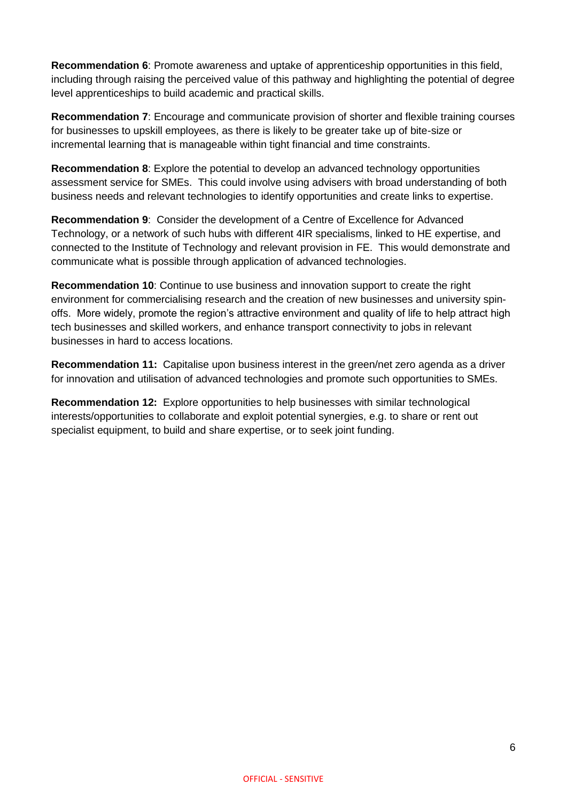**Recommendation 6**: Promote awareness and uptake of apprenticeship opportunities in this field, including through raising the perceived value of this pathway and highlighting the potential of degree level apprenticeships to build academic and practical skills.

**Recommendation 7**: Encourage and communicate provision of shorter and flexible training courses for businesses to upskill employees, as there is likely to be greater take up of bite-size or incremental learning that is manageable within tight financial and time constraints.

**Recommendation 8**: Explore the potential to develop an advanced technology opportunities assessment service for SMEs. This could involve using advisers with broad understanding of both business needs and relevant technologies to identify opportunities and create links to expertise.

**Recommendation 9**:Consider the development of a Centre of Excellence for Advanced Technology, or a network of such hubs with different 4IR specialisms, linked to HE expertise, and connected to the Institute of Technology and relevant provision in FE. This would demonstrate and communicate what is possible through application of advanced technologies.

**Recommendation 10**: Continue to use business and innovation support to create the right environment for commercialising research and the creation of new businesses and university spinoffs. More widely, promote the region's attractive environment and quality of life to help attract high tech businesses and skilled workers, and enhance transport connectivity to jobs in relevant businesses in hard to access locations.

**Recommendation 11:** Capitalise upon business interest in the green/net zero agenda as a driver for innovation and utilisation of advanced technologies and promote such opportunities to SMEs.

**Recommendation 12:** Explore opportunities to help businesses with similar technological interests/opportunities to collaborate and exploit potential synergies, e.g. to share or rent out specialist equipment, to build and share expertise, or to seek joint funding.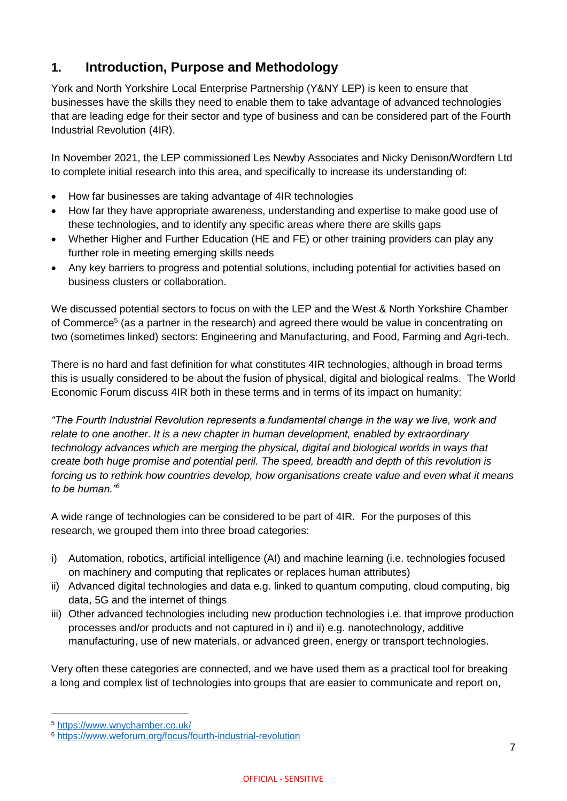# <span id="page-7-0"></span>**1. Introduction, Purpose and Methodology**

York and North Yorkshire Local Enterprise Partnership (Y&NY LEP) is keen to ensure that businesses have the skills they need to enable them to take advantage of advanced technologies that are leading edge for their sector and type of business and can be considered part of the Fourth Industrial Revolution (4IR).

In November 2021, the LEP commissioned Les Newby Associates and Nicky Denison/Wordfern Ltd to complete initial research into this area, and specifically to increase its understanding of:

- How far businesses are taking advantage of 4IR technologies
- How far they have appropriate awareness, understanding and expertise to make good use of these technologies, and to identify any specific areas where there are skills gaps
- Whether Higher and Further Education (HE and FE) or other training providers can play any further role in meeting emerging skills needs
- Any key barriers to progress and potential solutions, including potential for activities based on business clusters or collaboration.

We discussed potential sectors to focus on with the LEP and the West & North Yorkshire Chamber of Commerce<sup>5</sup> (as a partner in the research) and agreed there would be value in concentrating on two (sometimes linked) sectors: Engineering and Manufacturing, and Food, Farming and Agri-tech.

There is no hard and fast definition for what constitutes 4IR technologies, although in broad terms this is usually considered to be about the fusion of physical, digital and biological realms. The World Economic Forum discuss 4IR both in these terms and in terms of its impact on humanity:

*"The Fourth Industrial Revolution represents a fundamental change in the way we live, work and relate to one another. It is a new chapter in human development, enabled by extraordinary technology advances which are merging the physical, digital and biological worlds in ways that create both huge promise and potential peril. The speed, breadth and depth of this revolution is forcing us to rethink how countries develop, how organisations create value and even what it means to be human."<sup>6</sup>*

A wide range of technologies can be considered to be part of 4IR. For the purposes of this research, we grouped them into three broad categories:

- i) Automation, robotics, artificial intelligence (AI) and machine learning (i.e. technologies focused on machinery and computing that replicates or replaces human attributes)
- ii) Advanced digital technologies and data e.g. linked to quantum computing, cloud computing, big data, 5G and the internet of things
- iii) Other advanced technologies including new production technologies i.e. that improve production processes and/or products and not captured in i) and ii) e.g. nanotechnology, additive manufacturing, use of new materials, or advanced green, energy or transport technologies.

Very often these categories are connected, and we have used them as a practical tool for breaking a long and complex list of technologies into groups that are easier to communicate and report on,

<sup>5</sup> <https://www.wnychamber.co.uk/>

<sup>6</sup> <https://www.weforum.org/focus/fourth-industrial-revolution>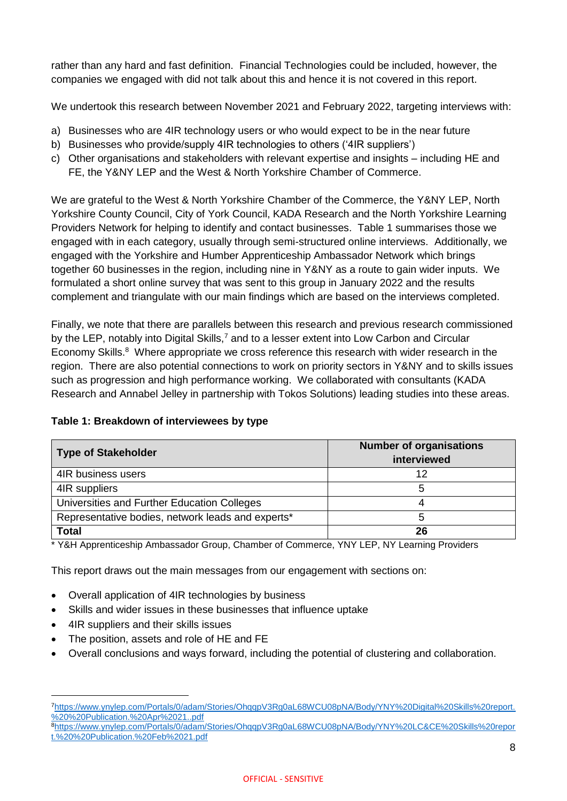rather than any hard and fast definition. Financial Technologies could be included, however, the companies we engaged with did not talk about this and hence it is not covered in this report.

We undertook this research between November 2021 and February 2022, targeting interviews with:

- a) Businesses who are 4IR technology users or who would expect to be in the near future
- b) Businesses who provide/supply 4IR technologies to others ('4IR suppliers')
- c) Other organisations and stakeholders with relevant expertise and insights including HE and FE, the Y&NY LEP and the West & North Yorkshire Chamber of Commerce.

We are grateful to the West & North Yorkshire Chamber of the Commerce, the Y&NY LEP, North Yorkshire County Council, City of York Council, KADA Research and the North Yorkshire Learning Providers Network for helping to identify and contact businesses. Table 1 summarises those we engaged with in each category, usually through semi-structured online interviews. Additionally, we engaged with the Yorkshire and Humber Apprenticeship Ambassador Network which brings together 60 businesses in the region, including nine in Y&NY as a route to gain wider inputs. We formulated a short online survey that was sent to this group in January 2022 and the results complement and triangulate with our main findings which are based on the interviews completed.

Finally, we note that there are parallels between this research and previous research commissioned by the LEP, notably into Digital Skills,<sup>7</sup> and to a lesser extent into Low Carbon and Circular Economy Skills.<sup>8</sup> Where appropriate we cross reference this research with wider research in the region. There are also potential connections to work on priority sectors in Y&NY and to skills issues such as progression and high performance working. We collaborated with consultants (KADA Research and Annabel Jelley in partnership with Tokos Solutions) leading studies into these areas.

| <b>Type of Stakeholder</b>                        | <b>Number of organisations</b><br>interviewed |
|---------------------------------------------------|-----------------------------------------------|
| 4IR business users                                | 12                                            |
| 4IR suppliers                                     | h.                                            |
| Universities and Further Education Colleges       |                                               |
| Representative bodies, network leads and experts* | 5                                             |
| <b>Total</b>                                      | 26                                            |

#### **Table 1: Breakdown of interviewees by type**

\* Y&H Apprenticeship Ambassador Group, Chamber of Commerce, YNY LEP, NY Learning Providers

This report draws out the main messages from our engagement with sections on:

- Overall application of 4IR technologies by business
- Skills and wider issues in these businesses that influence uptake
- 4IR suppliers and their skills issues

- The position, assets and role of HE and FE
- Overall conclusions and ways forward, including the potential of clustering and collaboration.

<sup>7</sup>[https://www.ynylep.com/Portals/0/adam/Stories/OhqqpV3Rg0aL68WCU08pNA/Body/YNY%20Digital%20Skills%20report.](https://www.ynylep.com/Portals/0/adam/Stories/OhqqpV3Rg0aL68WCU08pNA/Body/YNY%20Digital%20Skills%20report.%20%20Publication.%20Apr%2021..pdf) [%20%20Publication.%20Apr%2021..pdf](https://www.ynylep.com/Portals/0/adam/Stories/OhqqpV3Rg0aL68WCU08pNA/Body/YNY%20Digital%20Skills%20report.%20%20Publication.%20Apr%2021..pdf)

<sup>8</sup>[https://www.ynylep.com/Portals/0/adam/Stories/OhqqpV3Rg0aL68WCU08pNA/Body/YNY%20LC&CE%20Skills%20repor](https://www.ynylep.com/Portals/0/adam/Stories/OhqqpV3Rg0aL68WCU08pNA/Body/YNY%20LC&CE%20Skills%20report.%20%20Publication.%20Feb%2021.pdf) [t.%20%20Publication.%20Feb%2021.pdf](https://www.ynylep.com/Portals/0/adam/Stories/OhqqpV3Rg0aL68WCU08pNA/Body/YNY%20LC&CE%20Skills%20report.%20%20Publication.%20Feb%2021.pdf)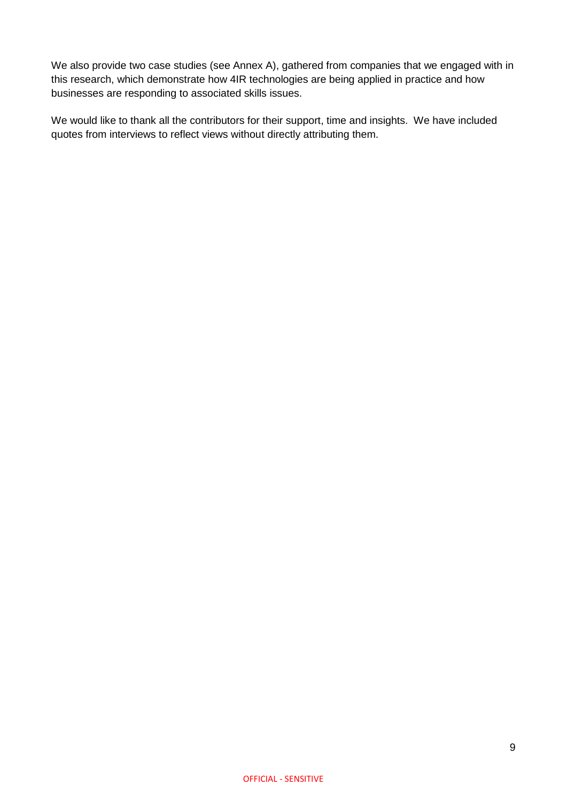We also provide two case studies (see Annex A), gathered from companies that we engaged with in this research, which demonstrate how 4IR technologies are being applied in practice and how businesses are responding to associated skills issues.

We would like to thank all the contributors for their support, time and insights. We have included quotes from interviews to reflect views without directly attributing them.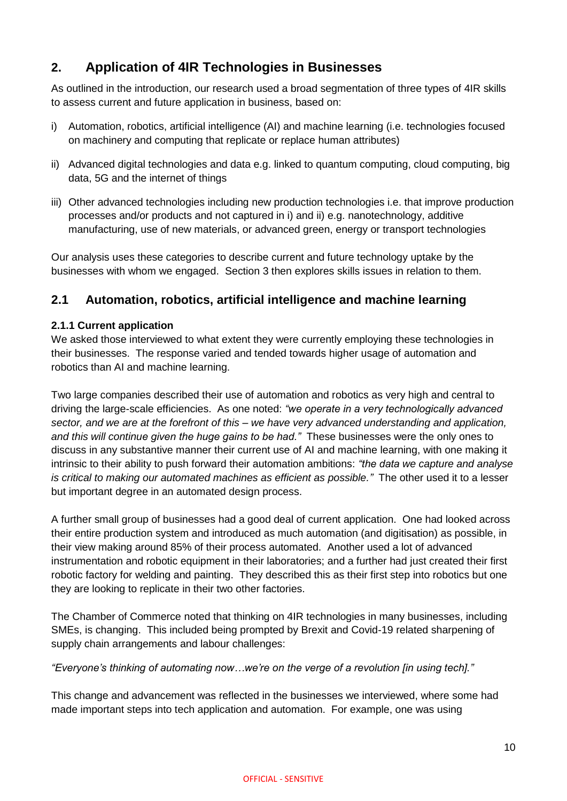# <span id="page-10-0"></span>**2. Application of 4IR Technologies in Businesses**

As outlined in the introduction, our research used a broad segmentation of three types of 4IR skills to assess current and future application in business, based on:

- i) Automation, robotics, artificial intelligence (AI) and machine learning (i.e. technologies focused on machinery and computing that replicate or replace human attributes)
- ii) Advanced digital technologies and data e.g. linked to quantum computing, cloud computing, big data, 5G and the internet of things
- iii) Other advanced technologies including new production technologies i.e. that improve production processes and/or products and not captured in i) and ii) e.g. nanotechnology, additive manufacturing, use of new materials, or advanced green, energy or transport technologies

Our analysis uses these categories to describe current and future technology uptake by the businesses with whom we engaged. Section 3 then explores skills issues in relation to them.

### <span id="page-10-1"></span>**2.1 Automation, robotics, artificial intelligence and machine learning**

### **2.1.1 Current application**

We asked those interviewed to what extent they were currently employing these technologies in their businesses. The response varied and tended towards higher usage of automation and robotics than AI and machine learning.

Two large companies described their use of automation and robotics as very high and central to driving the large-scale efficiencies. As one noted: *"we operate in a very technologically advanced sector, and we are at the forefront of this – we have very advanced understanding and application, and this will continue given the huge gains to be had."* These businesses were the only ones to discuss in any substantive manner their current use of AI and machine learning, with one making it intrinsic to their ability to push forward their automation ambitions: *"the data we capture and analyse is critical to making our automated machines as efficient as possible."* The other used it to a lesser but important degree in an automated design process.

A further small group of businesses had a good deal of current application. One had looked across their entire production system and introduced as much automation (and digitisation) as possible, in their view making around 85% of their process automated. Another used a lot of advanced instrumentation and robotic equipment in their laboratories; and a further had just created their first robotic factory for welding and painting. They described this as their first step into robotics but one they are looking to replicate in their two other factories.

The Chamber of Commerce noted that thinking on 4IR technologies in many businesses, including SMEs, is changing. This included being prompted by Brexit and Covid-19 related sharpening of supply chain arrangements and labour challenges:

#### *"Everyone's thinking of automating now…we're on the verge of a revolution [in using tech]."*

This change and advancement was reflected in the businesses we interviewed, where some had made important steps into tech application and automation. For example, one was using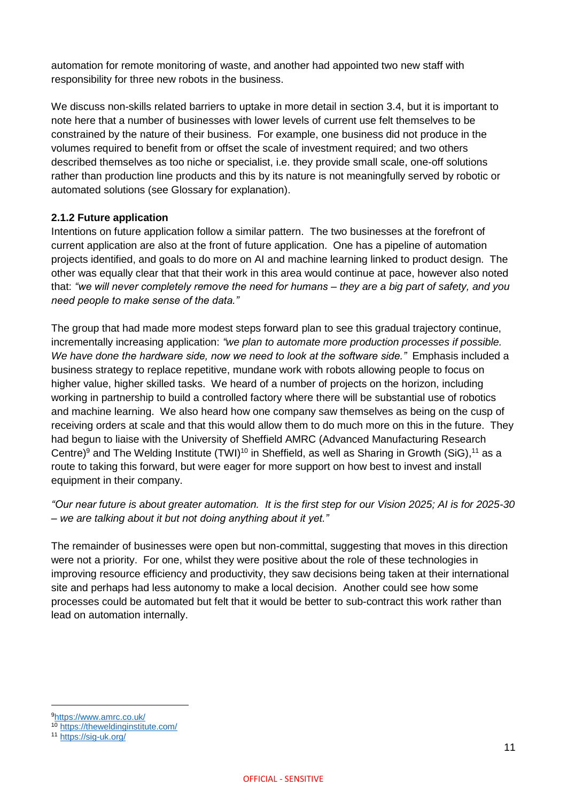automation for remote monitoring of waste, and another had appointed two new staff with responsibility for three new robots in the business.

We discuss non-skills related barriers to uptake in more detail in section 3.4, but it is important to note here that a number of businesses with lower levels of current use felt themselves to be constrained by the nature of their business. For example, one business did not produce in the volumes required to benefit from or offset the scale of investment required; and two others described themselves as too niche or specialist, i.e. they provide small scale, one-off solutions rather than production line products and this by its nature is not meaningfully served by robotic or automated solutions (see Glossary for explanation).

### **2.1.2 Future application**

Intentions on future application follow a similar pattern. The two businesses at the forefront of current application are also at the front of future application. One has a pipeline of automation projects identified, and goals to do more on AI and machine learning linked to product design. The other was equally clear that that their work in this area would continue at pace, however also noted that: *"we will never completely remove the need for humans – they are a big part of safety, and you need people to make sense of the data."*

The group that had made more modest steps forward plan to see this gradual trajectory continue, incrementally increasing application: *"we plan to automate more production processes if possible. We have done the hardware side, now we need to look at the software side."* Emphasis included a business strategy to replace repetitive, mundane work with robots allowing people to focus on higher value, higher skilled tasks. We heard of a number of projects on the horizon, including working in partnership to build a controlled factory where there will be substantial use of robotics and machine learning. We also heard how one company saw themselves as being on the cusp of receiving orders at scale and that this would allow them to do much more on this in the future. They had begun to liaise with the University of Sheffield AMRC (Advanced Manufacturing Research Centre)<sup>9</sup> and The Welding Institute (TWI)<sup>10</sup> in Sheffield, as well as Sharing in Growth (SiG),<sup>11</sup> as a route to taking this forward, but were eager for more support on how best to invest and install equipment in their company.

*"Our near future is about greater automation. It is the first step for our Vision 2025; AI is for 2025-30 – we are talking about it but not doing anything about it yet."*

The remainder of businesses were open but non-committal, suggesting that moves in this direction were not a priority. For one, whilst they were positive about the role of these technologies in improving resource efficiency and productivity, they saw decisions being taken at their international site and perhaps had less autonomy to make a local decision. Another could see how some processes could be automated but felt that it would be better to sub-contract this work rather than lead on automation internally.

 $\overline{a}$ 

<sup>9</sup><https://www.amrc.co.uk/>

<sup>10</sup> <https://theweldinginstitute.com/>

<sup>11</sup> <https://sig-uk.org/>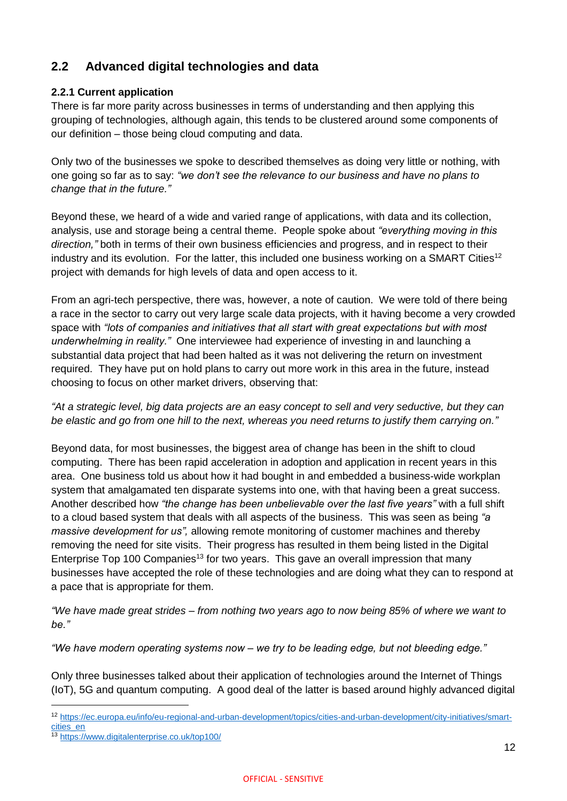### <span id="page-12-0"></span>**2.2 Advanced digital technologies and data**

### **2.2.1 Current application**

There is far more parity across businesses in terms of understanding and then applying this grouping of technologies, although again, this tends to be clustered around some components of our definition – those being cloud computing and data.

Only two of the businesses we spoke to described themselves as doing very little or nothing, with one going so far as to say: *"we don't see the relevance to our business and have no plans to change that in the future."*

Beyond these, we heard of a wide and varied range of applications, with data and its collection, analysis, use and storage being a central theme. People spoke about *"everything moving in this direction,"* both in terms of their own business efficiencies and progress, and in respect to their industry and its evolution. For the latter, this included one business working on a SMART Cities<sup>12</sup> project with demands for high levels of data and open access to it.

From an agri-tech perspective, there was, however, a note of caution. We were told of there being a race in the sector to carry out very large scale data projects, with it having become a very crowded space with *"lots of companies and initiatives that all start with great expectations but with most underwhelming in reality."* One interviewee had experience of investing in and launching a substantial data project that had been halted as it was not delivering the return on investment required. They have put on hold plans to carry out more work in this area in the future, instead choosing to focus on other market drivers, observing that:

*"At a strategic level, big data projects are an easy concept to sell and very seductive, but they can be elastic and go from one hill to the next, whereas you need returns to justify them carrying on."*

Beyond data, for most businesses, the biggest area of change has been in the shift to cloud computing. There has been rapid acceleration in adoption and application in recent years in this area. One business told us about how it had bought in and embedded a business-wide workplan system that amalgamated ten disparate systems into one, with that having been a great success. Another described how *"the change has been unbelievable over the last five years"* with a full shift to a cloud based system that deals with all aspects of the business. This was seen as being *"a massive development for us",* allowing remote monitoring of customer machines and thereby removing the need for site visits. Their progress has resulted in them being listed in the Digital Enterprise Top 100 Companies<sup>13</sup> for two years. This gave an overall impression that many businesses have accepted the role of these technologies and are doing what they can to respond at a pace that is appropriate for them.

*"We have made great strides – from nothing two years ago to now being 85% of where we want to be."* 

*"We have modern operating systems now – we try to be leading edge, but not bleeding edge."*

Only three businesses talked about their application of technologies around the Internet of Things (IoT), 5G and quantum computing. A good deal of the latter is based around highly advanced digital

 $\overline{a}$ 

<sup>12</sup> [https://ec.europa.eu/info/eu-regional-and-urban-development/topics/cities-and-urban-development/city-initiatives/smart](https://ec.europa.eu/info/eu-regional-and-urban-development/topics/cities-and-urban-development/city-initiatives/smart-cities_en)[cities\\_en](https://ec.europa.eu/info/eu-regional-and-urban-development/topics/cities-and-urban-development/city-initiatives/smart-cities_en)

<sup>13</sup> <https://www.digitalenterprise.co.uk/top100/>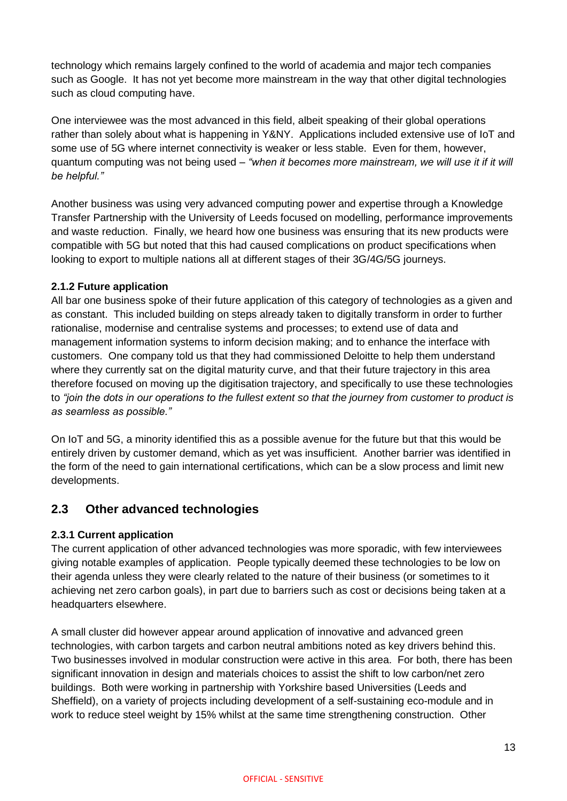technology which remains largely confined to the world of academia and major tech companies such as Google. It has not yet become more mainstream in the way that other digital technologies such as cloud computing have.

One interviewee was the most advanced in this field, albeit speaking of their global operations rather than solely about what is happening in Y&NY. Applications included extensive use of IoT and some use of 5G where internet connectivity is weaker or less stable. Even for them, however, quantum computing was not being used – *"when it becomes more mainstream, we will use it if it will be helpful."* 

Another business was using very advanced computing power and expertise through a Knowledge Transfer Partnership with the University of Leeds focused on modelling, performance improvements and waste reduction. Finally, we heard how one business was ensuring that its new products were compatible with 5G but noted that this had caused complications on product specifications when looking to export to multiple nations all at different stages of their 3G/4G/5G journeys.

### **2.1.2 Future application**

All bar one business spoke of their future application of this category of technologies as a given and as constant. This included building on steps already taken to digitally transform in order to further rationalise, modernise and centralise systems and processes; to extend use of data and management information systems to inform decision making; and to enhance the interface with customers.One company told us that they had commissioned Deloitte to help them understand where they currently sat on the digital maturity curve, and that their future trajectory in this area therefore focused on moving up the digitisation trajectory, and specifically to use these technologies to *"join the dots in our operations to the fullest extent so that the journey from customer to product is as seamless as possible."*

On IoT and 5G, a minority identified this as a possible avenue for the future but that this would be entirely driven by customer demand, which as yet was insufficient. Another barrier was identified in the form of the need to gain international certifications, which can be a slow process and limit new developments.

### <span id="page-13-0"></span>**2.3 Other advanced technologies**

### **2.3.1 Current application**

The current application of other advanced technologies was more sporadic, with few interviewees giving notable examples of application. People typically deemed these technologies to be low on their agenda unless they were clearly related to the nature of their business (or sometimes to it achieving net zero carbon goals), in part due to barriers such as cost or decisions being taken at a headquarters elsewhere.

A small cluster did however appear around application of innovative and advanced green technologies, with carbon targets and carbon neutral ambitions noted as key drivers behind this. Two businesses involved in modular construction were active in this area. For both, there has been significant innovation in design and materials choices to assist the shift to low carbon/net zero buildings. Both were working in partnership with Yorkshire based Universities (Leeds and Sheffield), on a variety of projects including development of a self-sustaining eco-module and in work to reduce steel weight by 15% whilst at the same time strengthening construction. Other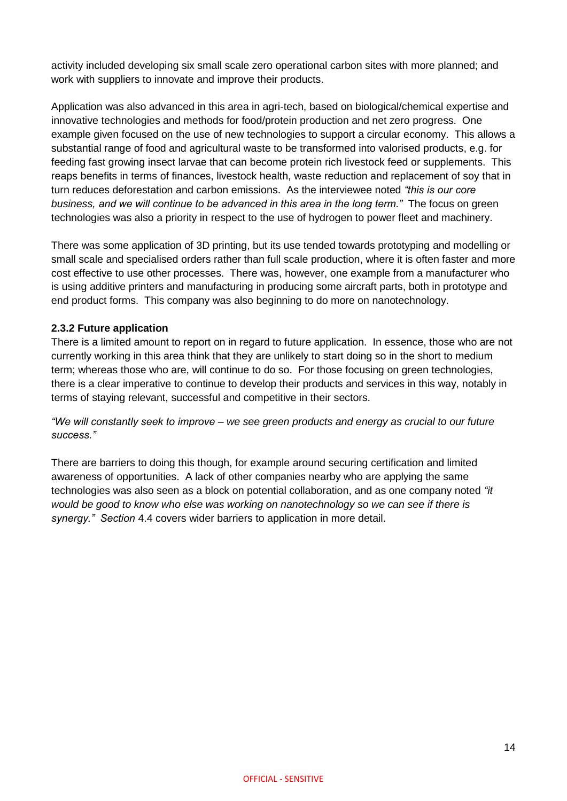activity included developing six small scale zero operational carbon sites with more planned; and work with suppliers to innovate and improve their products.

Application was also advanced in this area in agri-tech, based on biological/chemical expertise and innovative technologies and methods for food/protein production and net zero progress. One example given focused on the use of new technologies to support a circular economy. This allows a substantial range of food and agricultural waste to be transformed into valorised products, e.g. for feeding fast growing insect larvae that can become protein rich livestock feed or supplements. This reaps benefits in terms of finances, livestock health, waste reduction and replacement of soy that in turn reduces deforestation and carbon emissions. As the interviewee noted *"this is our core business, and we will continue to be advanced in this area in the long term."* The focus on green technologies was also a priority in respect to the use of hydrogen to power fleet and machinery.

There was some application of 3D printing, but its use tended towards prototyping and modelling or small scale and specialised orders rather than full scale production, where it is often faster and more cost effective to use other processes. There was, however, one example from a manufacturer who is using additive printers and manufacturing in producing some aircraft parts, both in prototype and end product forms. This company was also beginning to do more on nanotechnology.

### **2.3.2 Future application**

There is a limited amount to report on in regard to future application. In essence, those who are not currently working in this area think that they are unlikely to start doing so in the short to medium term; whereas those who are, will continue to do so. For those focusing on green technologies, there is a clear imperative to continue to develop their products and services in this way, notably in terms of staying relevant, successful and competitive in their sectors.

*"We will constantly seek to improve – we see green products and energy as crucial to our future success."*

There are barriers to doing this though, for example around securing certification and limited awareness of opportunities. A lack of other companies nearby who are applying the same technologies was also seen as a block on potential collaboration, and as one company noted *"it would be good to know who else was working on nanotechnology so we can see if there is synergy." Section* 4.4 covers wider barriers to application in more detail.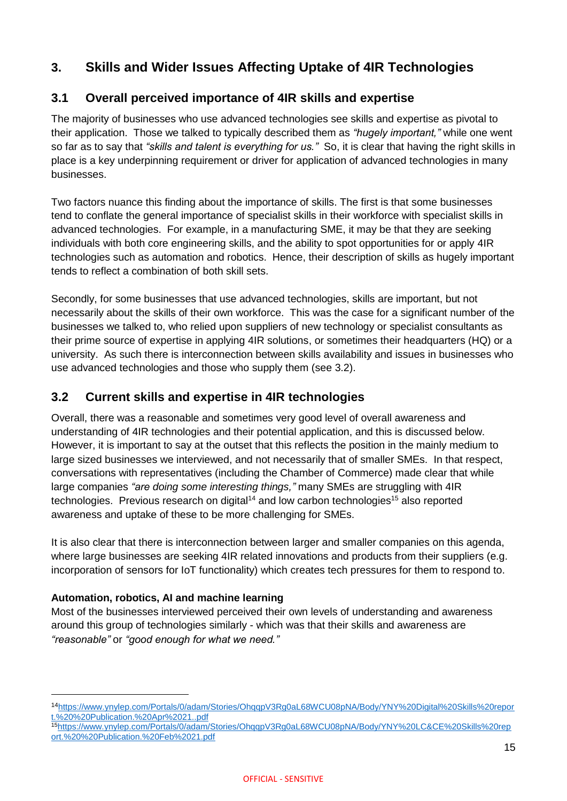## <span id="page-15-0"></span>**3. Skills and Wider Issues Affecting Uptake of 4IR Technologies**

### <span id="page-15-1"></span>**3.1 Overall perceived importance of 4IR skills and expertise**

The majority of businesses who use advanced technologies see skills and expertise as pivotal to their application. Those we talked to typically described them as *"hugely important,"* while one went so far as to say that *"skills and talent is everything for us."* So, it is clear that having the right skills in place is a key underpinning requirement or driver for application of advanced technologies in many businesses.

Two factors nuance this finding about the importance of skills. The first is that some businesses tend to conflate the general importance of specialist skills in their workforce with specialist skills in advanced technologies. For example, in a manufacturing SME, it may be that they are seeking individuals with both core engineering skills, and the ability to spot opportunities for or apply 4IR technologies such as automation and robotics. Hence, their description of skills as hugely important tends to reflect a combination of both skill sets.

Secondly, for some businesses that use advanced technologies, skills are important, but not necessarily about the skills of their own workforce. This was the case for a significant number of the businesses we talked to, who relied upon suppliers of new technology or specialist consultants as their prime source of expertise in applying 4IR solutions, or sometimes their headquarters (HQ) or a university. As such there is interconnection between skills availability and issues in businesses who use advanced technologies and those who supply them (see 3.2).

### <span id="page-15-2"></span>**3.2 Current skills and expertise in 4IR technologies**

Overall, there was a reasonable and sometimes very good level of overall awareness and understanding of 4IR technologies and their potential application, and this is discussed below. However, it is important to say at the outset that this reflects the position in the mainly medium to large sized businesses we interviewed, and not necessarily that of smaller SMEs. In that respect, conversations with representatives (including the Chamber of Commerce) made clear that while large companies *"are doing some interesting things,"* many SMEs are struggling with 4IR technologies. Previous research on digital<sup>14</sup> and low carbon technologies<sup>15</sup> also reported awareness and uptake of these to be more challenging for SMEs.

It is also clear that there is interconnection between larger and smaller companies on this agenda, where large businesses are seeking 4IR related innovations and products from their suppliers (e.g. incorporation of sensors for IoT functionality) which creates tech pressures for them to respond to.

### **Automation, robotics, AI and machine learning**

Most of the businesses interviewed perceived their own levels of understanding and awareness around this group of technologies similarly - which was that their skills and awareness are *"reasonable"* or *"good enough for what we need."*

<sup>14</sup>[https://www.ynylep.com/Portals/0/adam/Stories/OhqqpV3Rg0aL68WCU08pNA/Body/YNY%20Digital%20Skills%20repor](https://www.ynylep.com/Portals/0/adam/Stories/OhqqpV3Rg0aL68WCU08pNA/Body/YNY%20Digital%20Skills%20report.%20%20Publication.%20Apr%2021..pdf) [t.%20%20Publication.%20Apr%2021..pdf](https://www.ynylep.com/Portals/0/adam/Stories/OhqqpV3Rg0aL68WCU08pNA/Body/YNY%20Digital%20Skills%20report.%20%20Publication.%20Apr%2021..pdf)

<sup>15</sup>[https://www.ynylep.com/Portals/0/adam/Stories/OhqqpV3Rg0aL68WCU08pNA/Body/YNY%20LC&CE%20Skills%20rep](https://www.ynylep.com/Portals/0/adam/Stories/OhqqpV3Rg0aL68WCU08pNA/Body/YNY%20LC&CE%20Skills%20report.%20%20Publication.%20Feb%2021.pdf) [ort.%20%20Publication.%20Feb%2021.pdf](https://www.ynylep.com/Portals/0/adam/Stories/OhqqpV3Rg0aL68WCU08pNA/Body/YNY%20LC&CE%20Skills%20report.%20%20Publication.%20Feb%2021.pdf)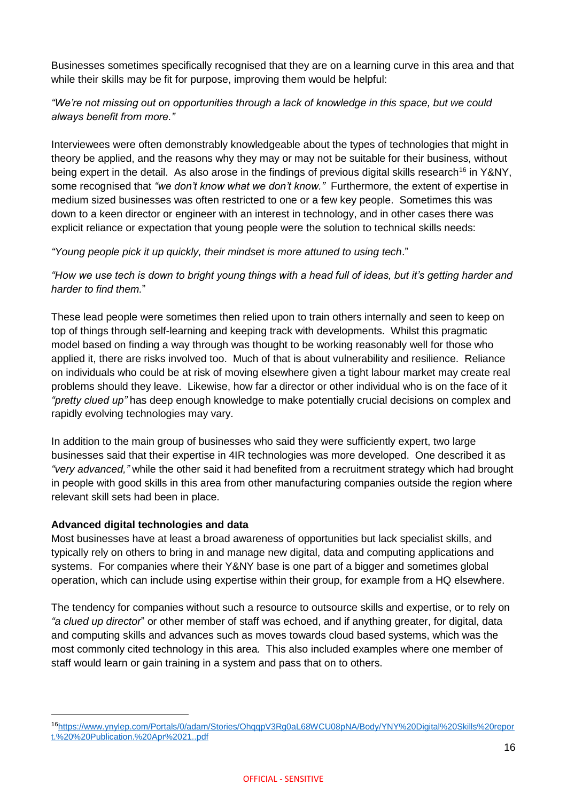Businesses sometimes specifically recognised that they are on a learning curve in this area and that while their skills may be fit for purpose, improving them would be helpful:

### *"We're not missing out on opportunities through a lack of knowledge in this space, but we could always benefit from more."*

Interviewees were often demonstrably knowledgeable about the types of technologies that might in theory be applied, and the reasons why they may or may not be suitable for their business, without being expert in the detail. As also arose in the findings of previous digital skills research<sup>16</sup> in Y&NY, some recognised that *"we don't know what we don't know."* Furthermore, the extent of expertise in medium sized businesses was often restricted to one or a few key people. Sometimes this was down to a keen director or engineer with an interest in technology, and in other cases there was explicit reliance or expectation that young people were the solution to technical skills needs:

### *"Young people pick it up quickly, their mindset is more attuned to using tech*."

*"How we use tech is down to bright young things with a head full of ideas, but it's getting harder and harder to find them.*"

These lead people were sometimes then relied upon to train others internally and seen to keep on top of things through self-learning and keeping track with developments. Whilst this pragmatic model based on finding a way through was thought to be working reasonably well for those who applied it, there are risks involved too. Much of that is about vulnerability and resilience. Reliance on individuals who could be at risk of moving elsewhere given a tight labour market may create real problems should they leave. Likewise, how far a director or other individual who is on the face of it *"pretty clued up"* has deep enough knowledge to make potentially crucial decisions on complex and rapidly evolving technologies may vary.

In addition to the main group of businesses who said they were sufficiently expert, two large businesses said that their expertise in 4IR technologies was more developed. One described it as *"very advanced,"* while the other said it had benefited from a recruitment strategy which had brought in people with good skills in this area from other manufacturing companies outside the region where relevant skill sets had been in place.

#### **Advanced digital technologies and data**

Most businesses have at least a broad awareness of opportunities but lack specialist skills, and typically rely on others to bring in and manage new digital, data and computing applications and systems. For companies where their Y&NY base is one part of a bigger and sometimes global operation, which can include using expertise within their group, for example from a HQ elsewhere.

The tendency for companies without such a resource to outsource skills and expertise, or to rely on *"a clued up director*" or other member of staff was echoed, and if anything greater, for digital, data and computing skills and advances such as moves towards cloud based systems, which was the most commonly cited technology in this area. This also included examples where one member of staff would learn or gain training in a system and pass that on to others.

<sup>16</sup>[https://www.ynylep.com/Portals/0/adam/Stories/OhqqpV3Rg0aL68WCU08pNA/Body/YNY%20Digital%20Skills%20repor](https://www.ynylep.com/Portals/0/adam/Stories/OhqqpV3Rg0aL68WCU08pNA/Body/YNY%20Digital%20Skills%20report.%20%20Publication.%20Apr%2021..pdf) [t.%20%20Publication.%20Apr%2021..pdf](https://www.ynylep.com/Portals/0/adam/Stories/OhqqpV3Rg0aL68WCU08pNA/Body/YNY%20Digital%20Skills%20report.%20%20Publication.%20Apr%2021..pdf)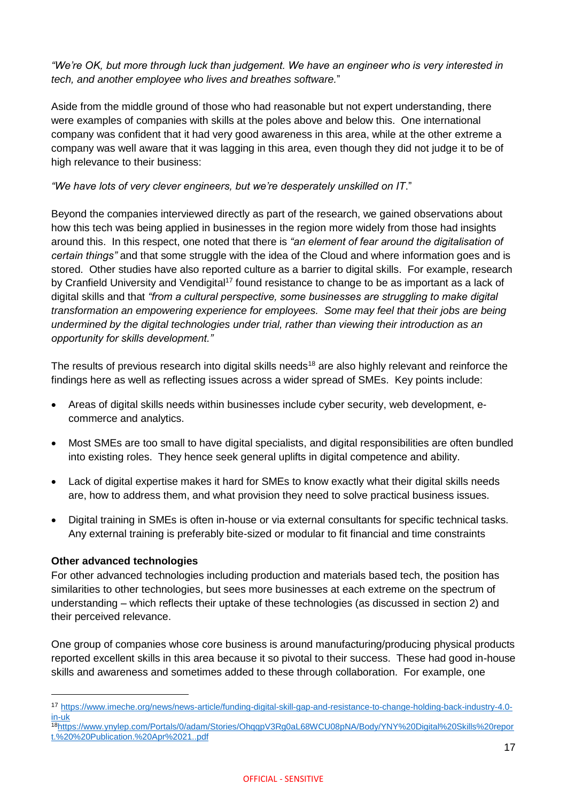*"We're OK, but more through luck than judgement. We have an engineer who is very interested in tech, and another employee who lives and breathes software.*"

Aside from the middle ground of those who had reasonable but not expert understanding, there were examples of companies with skills at the poles above and below this. One international company was confident that it had very good awareness in this area, while at the other extreme a company was well aware that it was lagging in this area, even though they did not judge it to be of high relevance to their business:

### *"We have lots of very clever engineers, but we're desperately unskilled on IT*."

Beyond the companies interviewed directly as part of the research, we gained observations about how this tech was being applied in businesses in the region more widely from those had insights around this. In this respect, one noted that there is *"an element of fear around the digitalisation of certain things"* and that some struggle with the idea of the Cloud and where information goes and is stored. Other studies have also reported culture as a barrier to digital skills. For example, research by Cranfield University and Vendigital<sup>17</sup> found resistance to change to be as important as a lack of digital skills and that *"from a cultural perspective, some businesses are struggling to make digital transformation an empowering experience for employees. Some may feel that their jobs are being undermined by the digital technologies under trial, rather than viewing their introduction as an opportunity for skills development."*

The results of previous research into digital skills needs<sup>18</sup> are also highly relevant and reinforce the findings here as well as reflecting issues across a wider spread of SMEs. Key points include:

- Areas of digital skills needs within businesses include cyber security, web development, ecommerce and analytics.
- Most SMEs are too small to have digital specialists, and digital responsibilities are often bundled into existing roles. They hence seek general uplifts in digital competence and ability.
- Lack of digital expertise makes it hard for SMEs to know exactly what their digital skills needs are, how to address them, and what provision they need to solve practical business issues.
- Digital training in SMEs is often in-house or via external consultants for specific technical tasks. Any external training is preferably bite-sized or modular to fit financial and time constraints

#### **Other advanced technologies**

For other advanced technologies including production and materials based tech, the position has similarities to other technologies, but sees more businesses at each extreme on the spectrum of understanding – which reflects their uptake of these technologies (as discussed in section 2) and their perceived relevance.

One group of companies whose core business is around manufacturing/producing physical products reported excellent skills in this area because it so pivotal to their success. These had good in-house skills and awareness and sometimes added to these through collaboration. For example, one

<sup>17</sup> [https://www.imeche.org/news/news-article/funding-digital-skill-gap-and-resistance-to-change-holding-back-industry-4.0](https://www.imeche.org/news/news-article/funding-digital-skill-gap-and-resistance-to-change-holding-back-industry-4.0-in-uk) [in-uk](https://www.imeche.org/news/news-article/funding-digital-skill-gap-and-resistance-to-change-holding-back-industry-4.0-in-uk)

<sup>18</sup>[https://www.ynylep.com/Portals/0/adam/Stories/OhqqpV3Rg0aL68WCU08pNA/Body/YNY%20Digital%20Skills%20repor](https://www.ynylep.com/Portals/0/adam/Stories/OhqqpV3Rg0aL68WCU08pNA/Body/YNY%20Digital%20Skills%20report.%20%20Publication.%20Apr%2021..pdf) [t.%20%20Publication.%20Apr%2021..pdf](https://www.ynylep.com/Portals/0/adam/Stories/OhqqpV3Rg0aL68WCU08pNA/Body/YNY%20Digital%20Skills%20report.%20%20Publication.%20Apr%2021..pdf)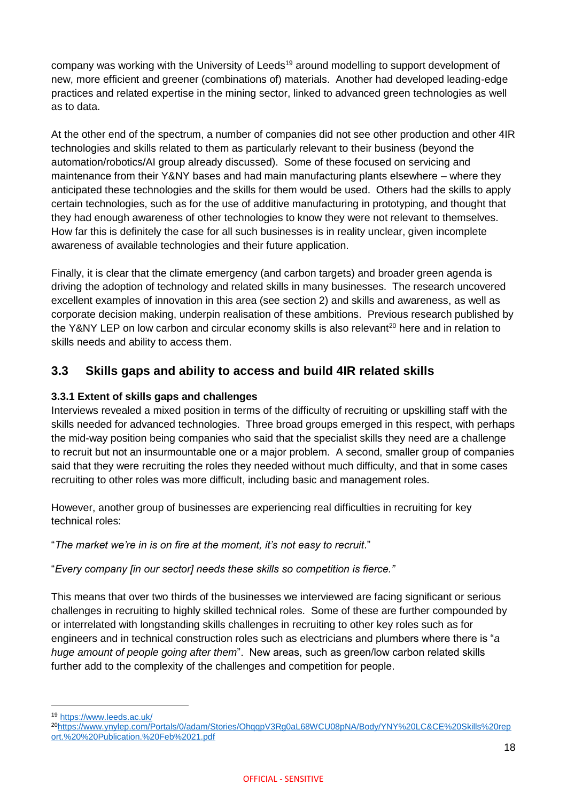company was working with the University of Leeds<sup>19</sup> around modelling to support development of new, more efficient and greener (combinations of) materials. Another had developed leading-edge practices and related expertise in the mining sector, linked to advanced green technologies as well as to data.

At the other end of the spectrum, a number of companies did not see other production and other 4IR technologies and skills related to them as particularly relevant to their business (beyond the automation/robotics/AI group already discussed). Some of these focused on servicing and maintenance from their Y&NY bases and had main manufacturing plants elsewhere – where they anticipated these technologies and the skills for them would be used. Others had the skills to apply certain technologies, such as for the use of additive manufacturing in prototyping, and thought that they had enough awareness of other technologies to know they were not relevant to themselves. How far this is definitely the case for all such businesses is in reality unclear, given incomplete awareness of available technologies and their future application.

Finally, it is clear that the climate emergency (and carbon targets) and broader green agenda is driving the adoption of technology and related skills in many businesses. The research uncovered excellent examples of innovation in this area (see section 2) and skills and awareness, as well as corporate decision making, underpin realisation of these ambitions. Previous research published by the Y&NY LEP on low carbon and circular economy skills is also relevant<sup>20</sup> here and in relation to skills needs and ability to access them.

### <span id="page-18-0"></span>**3.3 Skills gaps and ability to access and build 4IR related skills**

### **3.3.1 Extent of skills gaps and challenges**

Interviews revealed a mixed position in terms of the difficulty of recruiting or upskilling staff with the skills needed for advanced technologies. Three broad groups emerged in this respect, with perhaps the mid-way position being companies who said that the specialist skills they need are a challenge to recruit but not an insurmountable one or a major problem. A second, smaller group of companies said that they were recruiting the roles they needed without much difficulty, and that in some cases recruiting to other roles was more difficult, including basic and management roles.

However, another group of businesses are experiencing real difficulties in recruiting for key technical roles:

"*The market we're in is on fire at the moment, it's not easy to recruit*."

"*Every company [in our sector] needs these skills so competition is fierce."*

This means that over two thirds of the businesses we interviewed are facing significant or serious challenges in recruiting to highly skilled technical roles. Some of these are further compounded by or interrelated with longstanding skills challenges in recruiting to other key roles such as for engineers and in technical construction roles such as electricians and plumbers where there is "*a huge amount of people going after them*". New areas, such as green/low carbon related skills further add to the complexity of the challenges and competition for people.

 $\overline{a}$ 

<sup>19</sup> <https://www.leeds.ac.uk/>

<sup>20</sup>[https://www.ynylep.com/Portals/0/adam/Stories/OhqqpV3Rg0aL68WCU08pNA/Body/YNY%20LC&CE%20Skills%20rep](https://www.ynylep.com/Portals/0/adam/Stories/OhqqpV3Rg0aL68WCU08pNA/Body/YNY%20LC&CE%20Skills%20report.%20%20Publication.%20Feb%2021.pdf) [ort.%20%20Publication.%20Feb%2021.pdf](https://www.ynylep.com/Portals/0/adam/Stories/OhqqpV3Rg0aL68WCU08pNA/Body/YNY%20LC&CE%20Skills%20report.%20%20Publication.%20Feb%2021.pdf)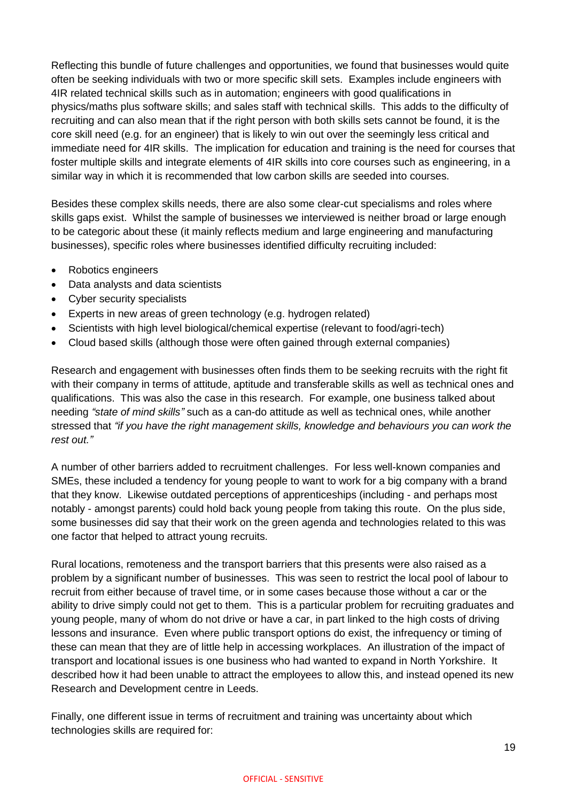Reflecting this bundle of future challenges and opportunities, we found that businesses would quite often be seeking individuals with two or more specific skill sets. Examples include engineers with 4IR related technical skills such as in automation; engineers with good qualifications in physics/maths plus software skills; and sales staff with technical skills. This adds to the difficulty of recruiting and can also mean that if the right person with both skills sets cannot be found, it is the core skill need (e.g. for an engineer) that is likely to win out over the seemingly less critical and immediate need for 4IR skills. The implication for education and training is the need for courses that foster multiple skills and integrate elements of 4IR skills into core courses such as engineering, in a similar way in which it is recommended that low carbon skills are seeded into courses.

Besides these complex skills needs, there are also some clear-cut specialisms and roles where skills gaps exist. Whilst the sample of businesses we interviewed is neither broad or large enough to be categoric about these (it mainly reflects medium and large engineering and manufacturing businesses), specific roles where businesses identified difficulty recruiting included:

- Robotics engineers
- Data analysts and data scientists
- Cyber security specialists
- Experts in new areas of green technology (e.g. hydrogen related)
- Scientists with high level biological/chemical expertise (relevant to food/agri-tech)
- Cloud based skills (although those were often gained through external companies)

Research and engagement with businesses often finds them to be seeking recruits with the right fit with their company in terms of attitude, aptitude and transferable skills as well as technical ones and qualifications. This was also the case in this research. For example, one business talked about needing *"state of mind skills"* such as a can-do attitude as well as technical ones, while another stressed that *"if you have the right management skills, knowledge and behaviours you can work the rest out."*

A number of other barriers added to recruitment challenges. For less well-known companies and SMEs, these included a tendency for young people to want to work for a big company with a brand that they know. Likewise outdated perceptions of apprenticeships (including - and perhaps most notably - amongst parents) could hold back young people from taking this route. On the plus side, some businesses did say that their work on the green agenda and technologies related to this was one factor that helped to attract young recruits.

Rural locations, remoteness and the transport barriers that this presents were also raised as a problem by a significant number of businesses. This was seen to restrict the local pool of labour to recruit from either because of travel time, or in some cases because those without a car or the ability to drive simply could not get to them. This is a particular problem for recruiting graduates and young people, many of whom do not drive or have a car, in part linked to the high costs of driving lessons and insurance. Even where public transport options do exist, the infrequency or timing of these can mean that they are of little help in accessing workplaces. An illustration of the impact of transport and locational issues is one business who had wanted to expand in North Yorkshire. It described how it had been unable to attract the employees to allow this, and instead opened its new Research and Development centre in Leeds.

Finally, one different issue in terms of recruitment and training was uncertainty about which technologies skills are required for: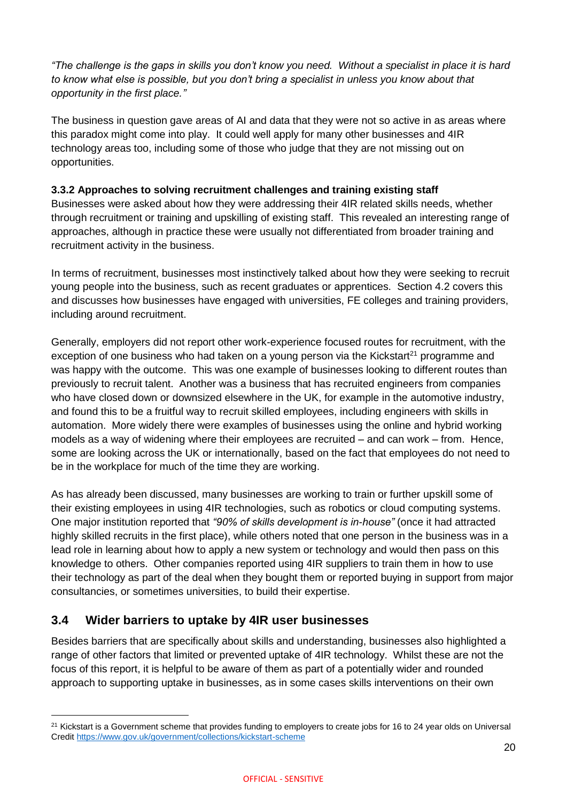*"The challenge is the gaps in skills you don't know you need. Without a specialist in place it is hard to know what else is possible, but you don't bring a specialist in unless you know about that opportunity in the first place."*

The business in question gave areas of AI and data that they were not so active in as areas where this paradox might come into play. It could well apply for many other businesses and 4IR technology areas too, including some of those who judge that they are not missing out on opportunities.

### **3.3.2 Approaches to solving recruitment challenges and training existing staff**

Businesses were asked about how they were addressing their 4IR related skills needs, whether through recruitment or training and upskilling of existing staff. This revealed an interesting range of approaches, although in practice these were usually not differentiated from broader training and recruitment activity in the business.

In terms of recruitment, businesses most instinctively talked about how they were seeking to recruit young people into the business, such as recent graduates or apprentices. Section 4.2 covers this and discusses how businesses have engaged with universities, FE colleges and training providers, including around recruitment.

Generally, employers did not report other work-experience focused routes for recruitment, with the exception of one business who had taken on a young person via the Kickstart<sup>21</sup> programme and was happy with the outcome. This was one example of businesses looking to different routes than previously to recruit talent. Another was a business that has recruited engineers from companies who have closed down or downsized elsewhere in the UK, for example in the automotive industry, and found this to be a fruitful way to recruit skilled employees, including engineers with skills in automation. More widely there were examples of businesses using the online and hybrid working models as a way of widening where their employees are recruited – and can work – from. Hence, some are looking across the UK or internationally, based on the fact that employees do not need to be in the workplace for much of the time they are working.

As has already been discussed, many businesses are working to train or further upskill some of their existing employees in using 4IR technologies, such as robotics or cloud computing systems. One major institution reported that *"90% of skills development is in-house"* (once it had attracted highly skilled recruits in the first place), while others noted that one person in the business was in a lead role in learning about how to apply a new system or technology and would then pass on this knowledge to others. Other companies reported using 4IR suppliers to train them in how to use their technology as part of the deal when they bought them or reported buying in support from major consultancies, or sometimes universities, to build their expertise.

### <span id="page-20-0"></span>**3.4 Wider barriers to uptake by 4IR user businesses**

Besides barriers that are specifically about skills and understanding, businesses also highlighted a range of other factors that limited or prevented uptake of 4IR technology. Whilst these are not the focus of this report, it is helpful to be aware of them as part of a potentially wider and rounded approach to supporting uptake in businesses, as in some cases skills interventions on their own

 $21$  Kickstart is a Government scheme that provides funding to employers to create jobs for 16 to 24 year olds on Universal Credit<https://www.gov.uk/government/collections/kickstart-scheme>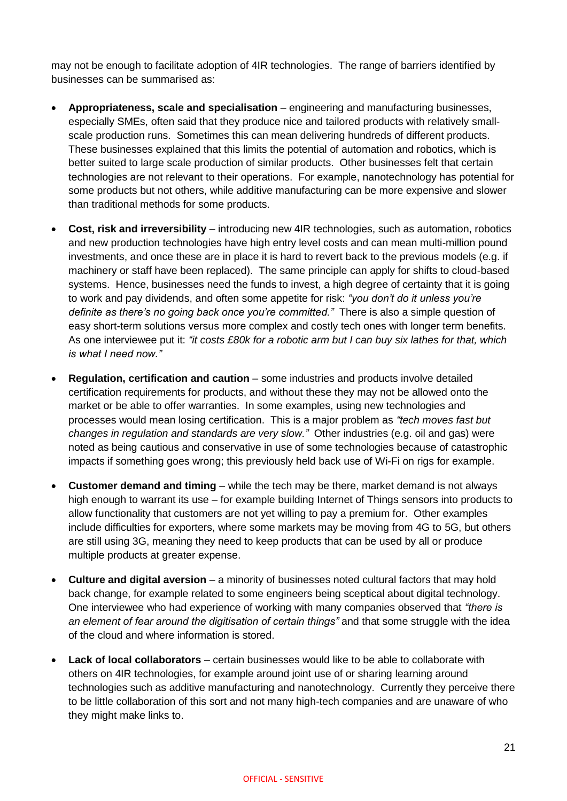may not be enough to facilitate adoption of 4IR technologies. The range of barriers identified by businesses can be summarised as:

- **Appropriateness, scale and specialisation** engineering and manufacturing businesses, especially SMEs, often said that they produce nice and tailored products with relatively smallscale production runs. Sometimes this can mean delivering hundreds of different products. These businesses explained that this limits the potential of automation and robotics, which is better suited to large scale production of similar products. Other businesses felt that certain technologies are not relevant to their operations. For example, nanotechnology has potential for some products but not others, while additive manufacturing can be more expensive and slower than traditional methods for some products.
- **Cost, risk and irreversibility** introducing new 4IR technologies, such as automation, robotics and new production technologies have high entry level costs and can mean multi-million pound investments, and once these are in place it is hard to revert back to the previous models (e.g. if machinery or staff have been replaced). The same principle can apply for shifts to cloud-based systems. Hence, businesses need the funds to invest, a high degree of certainty that it is going to work and pay dividends, and often some appetite for risk: *"you don't do it unless you're definite as there's no going back once you're committed."* There is also a simple question of easy short-term solutions versus more complex and costly tech ones with longer term benefits. As one interviewee put it: *"it costs £80k for a robotic arm but I can buy six lathes for that, which is what I need now."*
- **Regulation, certification and caution** some industries and products involve detailed certification requirements for products, and without these they may not be allowed onto the market or be able to offer warranties. In some examples, using new technologies and processes would mean losing certification. This is a major problem as *"tech moves fast but changes in regulation and standards are very slow."* Other industries (e.g. oil and gas) were noted as being cautious and conservative in use of some technologies because of catastrophic impacts if something goes wrong; this previously held back use of Wi-Fi on rigs for example.
- **Customer demand and timing** while the tech may be there, market demand is not always high enough to warrant its use – for example building Internet of Things sensors into products to allow functionality that customers are not yet willing to pay a premium for. Other examples include difficulties for exporters, where some markets may be moving from 4G to 5G, but others are still using 3G, meaning they need to keep products that can be used by all or produce multiple products at greater expense.
- **Culture and digital aversion** a minority of businesses noted cultural factors that may hold back change, for example related to some engineers being sceptical about digital technology. One interviewee who had experience of working with many companies observed that *"there is an element of fear around the digitisation of certain things"* and that some struggle with the idea of the cloud and where information is stored.
- **Lack of local collaborators** certain businesses would like to be able to collaborate with others on 4IR technologies, for example around joint use of or sharing learning around technologies such as additive manufacturing and nanotechnology. Currently they perceive there to be little collaboration of this sort and not many high-tech companies and are unaware of who they might make links to.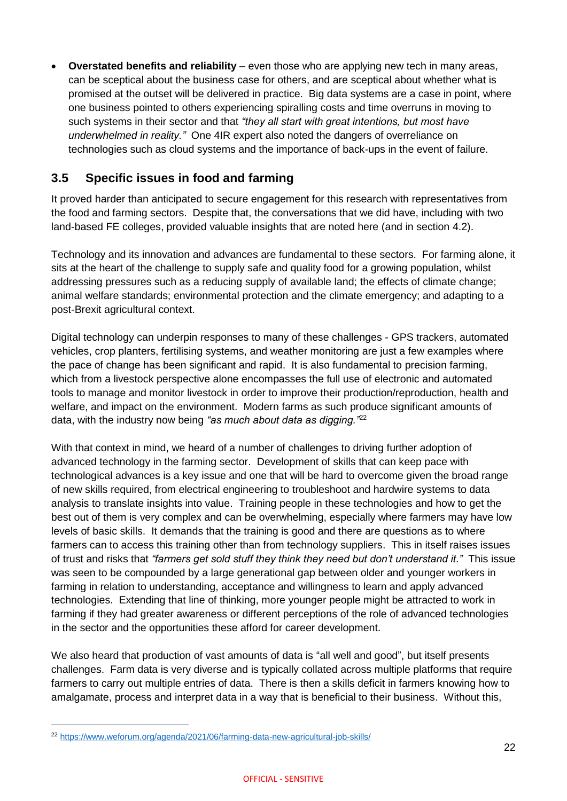**Overstated benefits and reliability** – even those who are applying new tech in many areas, can be sceptical about the business case for others, and are sceptical about whether what is promised at the outset will be delivered in practice. Big data systems are a case in point, where one business pointed to others experiencing spiralling costs and time overruns in moving to such systems in their sector and that *"they all start with great intentions, but most have underwhelmed in reality."* One 4IR expert also noted the dangers of overreliance on technologies such as cloud systems and the importance of back-ups in the event of failure.

### <span id="page-22-0"></span>**3.5 Specific issues in food and farming**

It proved harder than anticipated to secure engagement for this research with representatives from the food and farming sectors. Despite that, the conversations that we did have, including with two land-based FE colleges, provided valuable insights that are noted here (and in section 4.2).

Technology and its innovation and advances are fundamental to these sectors. For farming alone, it sits at the heart of the challenge to supply safe and quality food for a growing population, whilst addressing pressures such as a reducing supply of available land; the effects of climate change; animal welfare standards; environmental protection and the climate emergency; and adapting to a post-Brexit agricultural context.

Digital technology can underpin responses to many of these challenges - GPS trackers, automated vehicles, crop planters, fertilising systems, and weather monitoring are just a few examples where the pace of change has been significant and rapid. It is also fundamental to precision farming, which from a livestock perspective alone encompasses the full use of electronic and automated tools to manage and monitor livestock in order to improve their production/reproduction, health and welfare, and impact on the environment. Modern farms as such produce significant amounts of data, with the industry now being *"as much about data as digging."*<sup>22</sup>

With that context in mind, we heard of a number of challenges to driving further adoption of advanced technology in the farming sector. Development of skills that can keep pace with technological advances is a key issue and one that will be hard to overcome given the broad range of new skills required, from electrical engineering to troubleshoot and hardwire systems to data analysis to translate insights into value. Training people in these technologies and how to get the best out of them is very complex and can be overwhelming, especially where farmers may have low levels of basic skills. It demands that the training is good and there are questions as to where farmers can to access this training other than from technology suppliers. This in itself raises issues of trust and risks that *"farmers get sold stuff they think they need but don't understand it."* This issue was seen to be compounded by a large generational gap between older and younger workers in farming in relation to understanding, acceptance and willingness to learn and apply advanced technologies. Extending that line of thinking, more younger people might be attracted to work in farming if they had greater awareness or different perceptions of the role of advanced technologies in the sector and the opportunities these afford for career development.

We also heard that production of vast amounts of data is "all well and good", but itself presents challenges. Farm data is very diverse and is typically collated across multiple platforms that require farmers to carry out multiple entries of data. There is then a skills deficit in farmers knowing how to amalgamate, process and interpret data in a way that is beneficial to their business. Without this,

 $\overline{a}$ 

<sup>22</sup> <https://www.weforum.org/agenda/2021/06/farming-data-new-agricultural-job-skills/>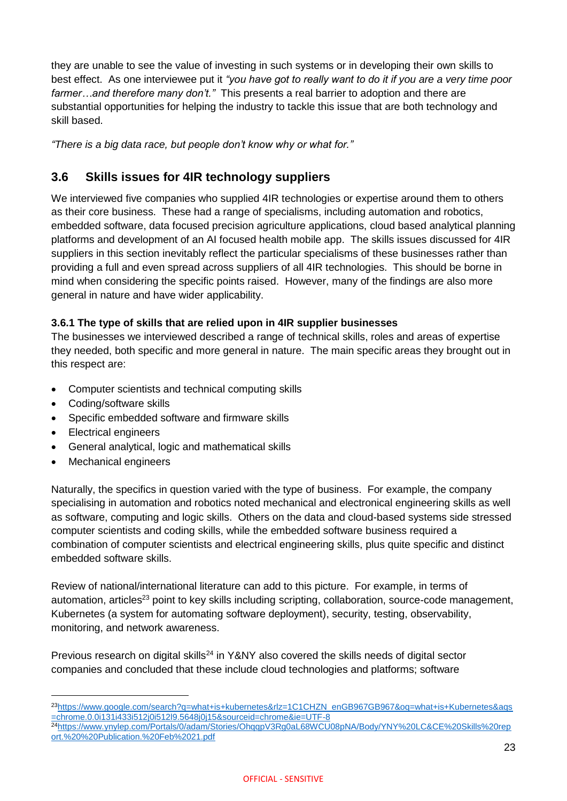they are unable to see the value of investing in such systems or in developing their own skills to best effect. As one interviewee put it *"you have got to really want to do it if you are a very time poor farmer…and therefore many don't."* This presents a real barrier to adoption and there are substantial opportunities for helping the industry to tackle this issue that are both technology and skill based.

*"There is a big data race, but people don't know why or what for."*

### <span id="page-23-0"></span>**3.6 Skills issues for 4IR technology suppliers**

We interviewed five companies who supplied 4IR technologies or expertise around them to others as their core business. These had a range of specialisms, including automation and robotics, embedded software, data focused precision agriculture applications, cloud based analytical planning platforms and development of an AI focused health mobile app. The skills issues discussed for 4IR suppliers in this section inevitably reflect the particular specialisms of these businesses rather than providing a full and even spread across suppliers of all 4IR technologies. This should be borne in mind when considering the specific points raised. However, many of the findings are also more general in nature and have wider applicability.

### **3.6.1 The type of skills that are relied upon in 4IR supplier businesses**

The businesses we interviewed described a range of technical skills, roles and areas of expertise they needed, both specific and more general in nature. The main specific areas they brought out in this respect are:

- Computer scientists and technical computing skills
- Coding/software skills
- Specific embedded software and firmware skills
- Electrical engineers
- General analytical, logic and mathematical skills
- Mechanical engineers

Naturally, the specifics in question varied with the type of business. For example, the company specialising in automation and robotics noted mechanical and electronical engineering skills as well as software, computing and logic skills. Others on the data and cloud-based systems side stressed computer scientists and coding skills, while the embedded software business required a combination of computer scientists and electrical engineering skills, plus quite specific and distinct embedded software skills.

Review of national/international literature can add to this picture. For example, in terms of automation, articles<sup>23</sup> point to key skills including scripting, collaboration, source-code management, Kubernetes (a system for automating software deployment), security, testing, observability, monitoring, and network awareness.

Previous research on digital skills<sup>24</sup> in Y&NY also covered the skills needs of digital sector companies and concluded that these include cloud technologies and platforms; software

<sup>23</sup>https://www.google.com/search?q=what+is+kubernetes&rlz=1C1CHZN\_enGB967GB967&oq=what+is+Kubernetes&ags [=chrome.0.0i131i433i512j0i512l9.5648j0j15&sourceid=chrome&ie=UTF-8](https://www.google.com/search?q=what+is+kubernetes&rlz=1C1CHZN_enGB967GB967&oq=what+is+Kubernetes&aqs=chrome.0.0i131i433i512j0i512l9.5648j0j15&sourceid=chrome&ie=UTF-8)

<sup>24</sup>[https://www.ynylep.com/Portals/0/adam/Stories/OhqqpV3Rg0aL68WCU08pNA/Body/YNY%20LC&CE%20Skills%20rep](https://www.ynylep.com/Portals/0/adam/Stories/OhqqpV3Rg0aL68WCU08pNA/Body/YNY%20LC&CE%20Skills%20report.%20%20Publication.%20Feb%2021.pdf) [ort.%20%20Publication.%20Feb%2021.pdf](https://www.ynylep.com/Portals/0/adam/Stories/OhqqpV3Rg0aL68WCU08pNA/Body/YNY%20LC&CE%20Skills%20report.%20%20Publication.%20Feb%2021.pdf)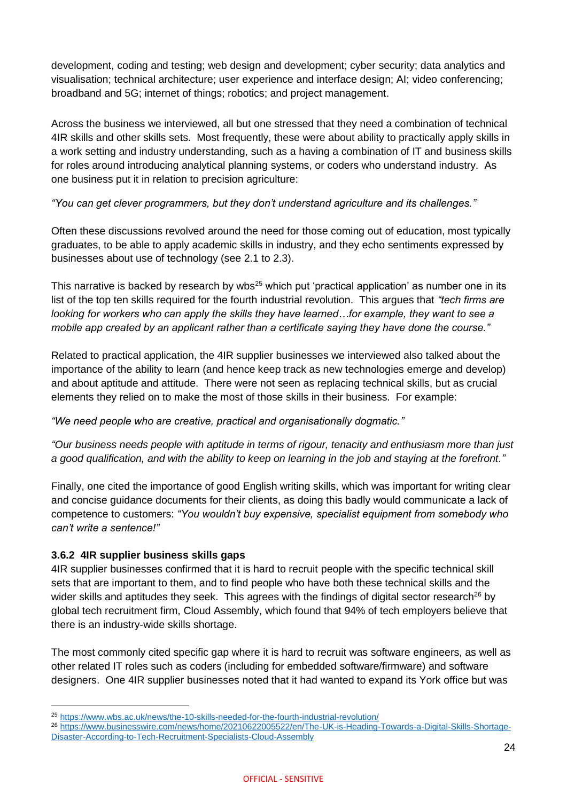development, coding and testing; web design and development; cyber security; data analytics and visualisation; technical architecture; user experience and interface design; AI; video conferencing; broadband and 5G; internet of things; robotics; and project management.

Across the business we interviewed, all but one stressed that they need a combination of technical 4IR skills and other skills sets. Most frequently, these were about ability to practically apply skills in a work setting and industry understanding, such as a having a combination of IT and business skills for roles around introducing analytical planning systems, or coders who understand industry. As one business put it in relation to precision agriculture:

*"You can get clever programmers, but they don't understand agriculture and its challenges."*

Often these discussions revolved around the need for those coming out of education, most typically graduates, to be able to apply academic skills in industry, and they echo sentiments expressed by businesses about use of technology (see 2.1 to 2.3).

This narrative is backed by research by wbs<sup>25</sup> which put 'practical application' as number one in its list of the top ten skills required for the fourth industrial revolution. This argues that *"tech firms are looking for workers who can apply the skills they have learned…for example, they want to see a mobile app created by an applicant rather than a certificate saying they have done the course."*

Related to practical application, the 4IR supplier businesses we interviewed also talked about the importance of the ability to learn (and hence keep track as new technologies emerge and develop) and about aptitude and attitude. There were not seen as replacing technical skills, but as crucial elements they relied on to make the most of those skills in their business. For example:

*"We need people who are creative, practical and organisationally dogmatic."*

*"Our business needs people with aptitude in terms of rigour, tenacity and enthusiasm more than just a good qualification, and with the ability to keep on learning in the job and staying at the forefront."*

Finally, one cited the importance of good English writing skills, which was important for writing clear and concise guidance documents for their clients, as doing this badly would communicate a lack of competence to customers: *"You wouldn't buy expensive, specialist equipment from somebody who can't write a sentence!"*

### **3.6.2 4IR supplier business skills gaps**

 $\overline{a}$ 

4IR supplier businesses confirmed that it is hard to recruit people with the specific technical skill sets that are important to them, and to find people who have both these technical skills and the wider skills and aptitudes they seek. This agrees with the findings of digital sector research<sup>26</sup> by global tech recruitment firm, Cloud Assembly, which found that 94% of tech employers believe that there is an industry-wide skills shortage.

The most commonly cited specific gap where it is hard to recruit was software engineers, as well as other related IT roles such as coders (including for embedded software/firmware) and software designers. One 4IR supplier businesses noted that it had wanted to expand its York office but was

<sup>25</sup> <https://www.wbs.ac.uk/news/the-10-skills-needed-for-the-fourth-industrial-revolution/>

<sup>26</sup> [https://www.businesswire.com/news/home/20210622005522/en/The-UK-is-Heading-Towards-a-Digital-Skills-Shortage-](https://www.businesswire.com/news/home/20210622005522/en/The-UK-is-Heading-Towards-a-Digital-Skills-Shortage-Disaster-According-to-Tech-Recruitment-Specialists-Cloud-Assembly)[Disaster-According-to-Tech-Recruitment-Specialists-Cloud-Assembly](https://www.businesswire.com/news/home/20210622005522/en/The-UK-is-Heading-Towards-a-Digital-Skills-Shortage-Disaster-According-to-Tech-Recruitment-Specialists-Cloud-Assembly)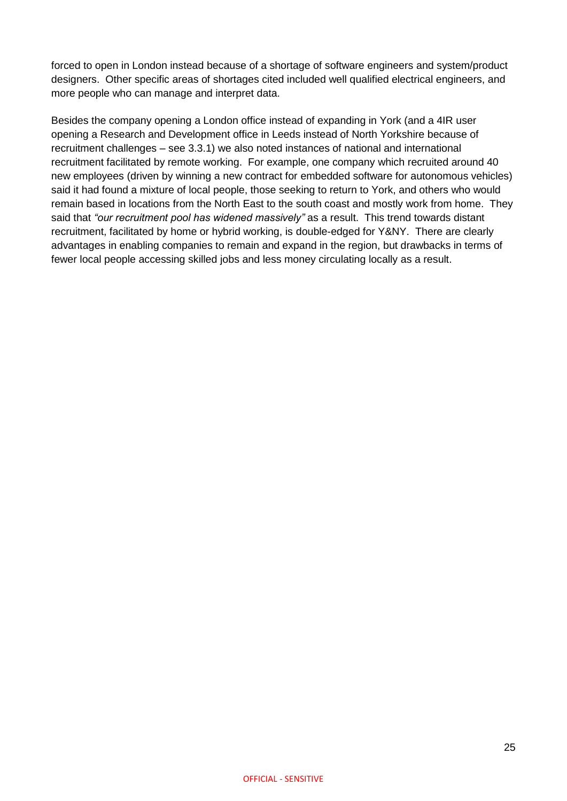forced to open in London instead because of a shortage of software engineers and system/product designers. Other specific areas of shortages cited included well qualified electrical engineers, and more people who can manage and interpret data.

Besides the company opening a London office instead of expanding in York (and a 4IR user opening a Research and Development office in Leeds instead of North Yorkshire because of recruitment challenges – see 3.3.1) we also noted instances of national and international recruitment facilitated by remote working. For example, one company which recruited around 40 new employees (driven by winning a new contract for embedded software for autonomous vehicles) said it had found a mixture of local people, those seeking to return to York, and others who would remain based in locations from the North East to the south coast and mostly work from home. They said that *"our recruitment pool has widened massively"* as a result. This trend towards distant recruitment, facilitated by home or hybrid working, is double-edged for Y&NY. There are clearly advantages in enabling companies to remain and expand in the region, but drawbacks in terms of fewer local people accessing skilled jobs and less money circulating locally as a result.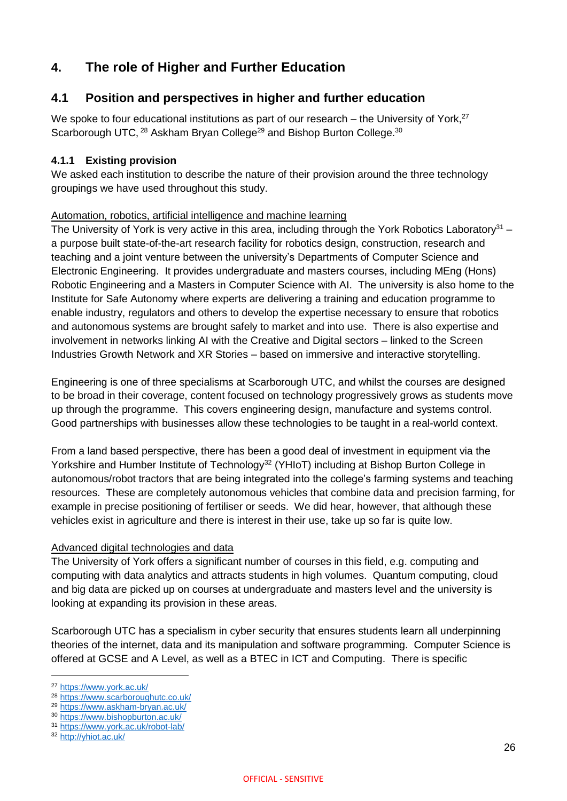# <span id="page-26-0"></span>**4. The role of Higher and Further Education**

### <span id="page-26-1"></span>**4.1 Position and perspectives in higher and further education**

We spoke to four educational institutions as part of our research – the University of York, $27$ Scarborough UTC, <sup>28</sup> Askham Brvan College<sup>29</sup> and Bishop Burton College.<sup>30</sup>

### **4.1.1 Existing provision**

We asked each institution to describe the nature of their provision around the three technology groupings we have used throughout this study.

### Automation, robotics, artificial intelligence and machine learning

The University of York is very active in this area, including through the York Robotics Laboratory<sup>31</sup> – a purpose built state-of-the-art research facility for robotics design, construction, research and teaching and a joint venture between the university's Departments of Computer Science and Electronic Engineering. It provides undergraduate and masters courses, including MEng (Hons) Robotic Engineering and a Masters in Computer Science with AI. The university is also home to the Institute for Safe Autonomy where experts are delivering a training and education programme to enable industry, regulators and others to develop the expertise necessary to ensure that robotics and autonomous systems are brought safely to market and into use. There is also expertise and involvement in networks linking AI with the Creative and Digital sectors – linked to the Screen Industries Growth Network and XR Stories – based on immersive and interactive storytelling.

Engineering is one of three specialisms at Scarborough UTC, and whilst the courses are designed to be broad in their coverage, content focused on technology progressively grows as students move up through the programme. This covers engineering design, manufacture and systems control. Good partnerships with businesses allow these technologies to be taught in a real-world context.

From a land based perspective, there has been a good deal of investment in equipment via the Yorkshire and Humber Institute of Technology<sup>32</sup> (YHIoT) including at Bishop Burton College in autonomous/robot tractors that are being integrated into the college's farming systems and teaching resources. These are completely autonomous vehicles that combine data and precision farming, for example in precise positioning of fertiliser or seeds. We did hear, however, that although these vehicles exist in agriculture and there is interest in their use, take up so far is quite low.

### Advanced digital technologies and data

The University of York offers a significant number of courses in this field, e.g. computing and computing with data analytics and attracts students in high volumes. Quantum computing, cloud and big data are picked up on courses at undergraduate and masters level and the university is looking at expanding its provision in these areas.

Scarborough UTC has a specialism in cyber security that ensures students learn all underpinning theories of the internet, data and its manipulation and software programming. Computer Science is offered at GCSE and A Level, as well as a BTEC in ICT and Computing. There is specific

 $\overline{a}$ 

<sup>27</sup> <https://www.york.ac.uk/>

<sup>28</sup> <https://www.scarboroughutc.co.uk/>

<sup>29</sup> <https://www.askham-bryan.ac.uk/>

<sup>30</sup> <https://www.bishopburton.ac.uk/>

<sup>31</sup> <https://www.york.ac.uk/robot-lab/>

<sup>32</sup> <http://yhiot.ac.uk/>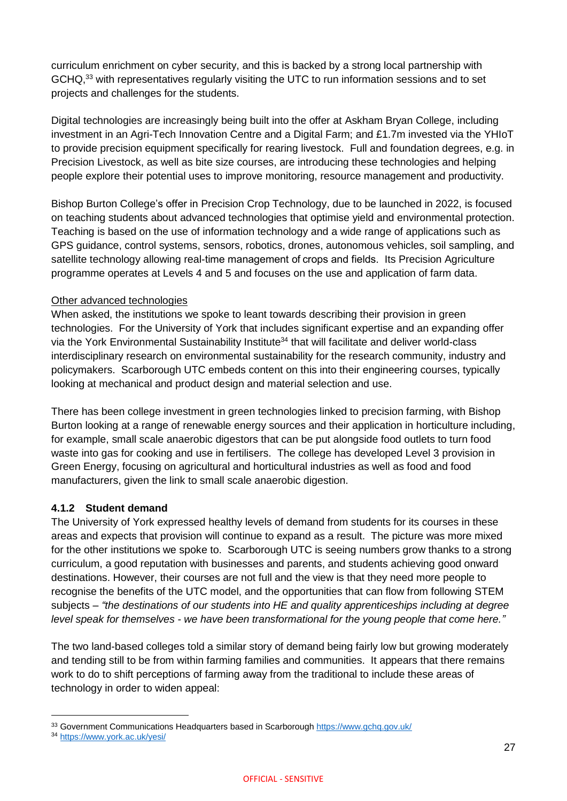curriculum enrichment on cyber security, and this is backed by a strong local partnership with GCHQ,<sup>33</sup> with representatives regularly visiting the UTC to run information sessions and to set projects and challenges for the students.

Digital technologies are increasingly being built into the offer at Askham Bryan College, including investment in an Agri-Tech Innovation Centre and a Digital Farm; and £1.7m invested via the YHIoT to provide precision equipment specifically for rearing livestock. Full and foundation degrees, e.g. in Precision Livestock, as well as bite size courses, are introducing these technologies and helping people explore their potential uses to improve monitoring, resource management and productivity.

Bishop Burton College's offer in Precision Crop Technology, due to be launched in 2022, is focused on teaching students about advanced technologies that optimise yield and environmental protection. Teaching is based on the use of information technology and a wide range of applications such as GPS guidance, control systems, sensors, robotics, drones, autonomous vehicles, soil sampling, and satellite technology allowing real-time management of crops and fields. Its Precision Agriculture programme operates at Levels 4 and 5 and focuses on the use and application of farm data.

### Other advanced technologies

When asked, the institutions we spoke to leant towards describing their provision in green technologies. For the University of York that includes significant expertise and an expanding offer via the York Environmental Sustainability Institute<sup>34</sup> that will facilitate and deliver world-class interdisciplinary research on environmental sustainability for the research community, industry and policymakers. Scarborough UTC embeds content on this into their engineering courses, typically looking at mechanical and product design and material selection and use.

There has been college investment in green technologies linked to precision farming, with Bishop Burton looking at a range of renewable energy sources and their application in horticulture including, for example, small scale anaerobic digestors that can be put alongside food outlets to turn food waste into gas for cooking and use in fertilisers. The college has developed Level 3 provision in Green Energy, focusing on agricultural and horticultural industries as well as food and food manufacturers, given the link to small scale anaerobic digestion.

### **4.1.2 Student demand**

The University of York expressed healthy levels of demand from students for its courses in these areas and expects that provision will continue to expand as a result. The picture was more mixed for the other institutions we spoke to. Scarborough UTC is seeing numbers grow thanks to a strong curriculum, a good reputation with businesses and parents, and students achieving good onward destinations. However, their courses are not full and the view is that they need more people to recognise the benefits of the UTC model, and the opportunities that can flow from following STEM subjects – *"the destinations of our students into HE and quality apprenticeships including at degree level speak for themselves - we have been transformational for the young people that come here."*

The two land-based colleges told a similar story of demand being fairly low but growing moderately and tending still to be from within farming families and communities. It appears that there remains work to do to shift perceptions of farming away from the traditional to include these areas of technology in order to widen appeal:

<sup>33</sup> Government Communications Headquarters based in Scarborough<https://www.gchq.gov.uk/>

<sup>34</sup> <https://www.york.ac.uk/yesi/>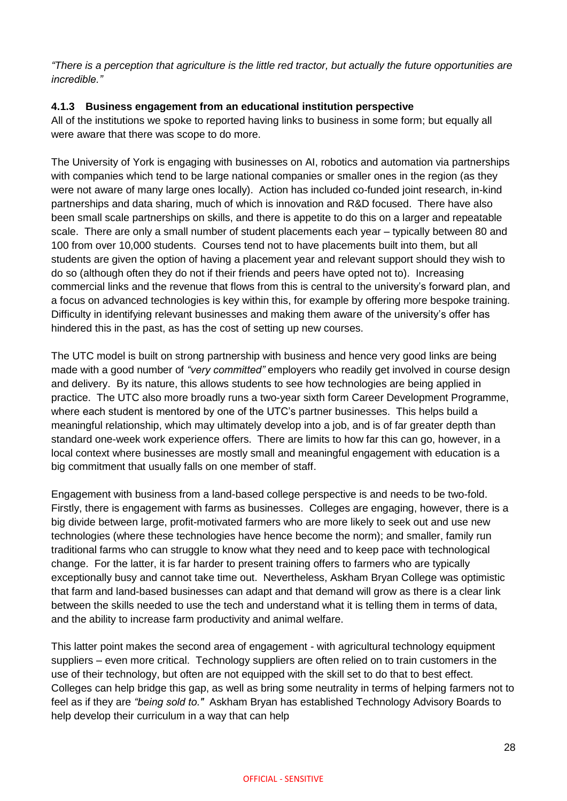*"There is a perception that agriculture is the little red tractor, but actually the future opportunities are incredible."*

### **4.1.3 Business engagement from an educational institution perspective**

All of the institutions we spoke to reported having links to business in some form; but equally all were aware that there was scope to do more.

The University of York is engaging with businesses on AI, robotics and automation via partnerships with companies which tend to be large national companies or smaller ones in the region (as they were not aware of many large ones locally). Action has included co-funded joint research, in-kind partnerships and data sharing, much of which is innovation and R&D focused. There have also been small scale partnerships on skills, and there is appetite to do this on a larger and repeatable scale. There are only a small number of student placements each year – typically between 80 and 100 from over 10,000 students. Courses tend not to have placements built into them, but all students are given the option of having a placement year and relevant support should they wish to do so (although often they do not if their friends and peers have opted not to). Increasing commercial links and the revenue that flows from this is central to the university's forward plan, and a focus on advanced technologies is key within this, for example by offering more bespoke training. Difficulty in identifying relevant businesses and making them aware of the university's offer has hindered this in the past, as has the cost of setting up new courses.

The UTC model is built on strong partnership with business and hence very good links are being made with a good number of *"very committed"* employers who readily get involved in course design and delivery. By its nature, this allows students to see how technologies are being applied in practice. The UTC also more broadly runs a two-year sixth form Career Development Programme, where each student is mentored by one of the UTC's partner businesses. This helps build a meaningful relationship, which may ultimately develop into a job, and is of far greater depth than standard one-week work experience offers. There are limits to how far this can go, however, in a local context where businesses are mostly small and meaningful engagement with education is a big commitment that usually falls on one member of staff.

Engagement with business from a land-based college perspective is and needs to be two-fold. Firstly, there is engagement with farms as businesses. Colleges are engaging, however, there is a big divide between large, profit-motivated farmers who are more likely to seek out and use new technologies (where these technologies have hence become the norm); and smaller, family run traditional farms who can struggle to know what they need and to keep pace with technological change. For the latter, it is far harder to present training offers to farmers who are typically exceptionally busy and cannot take time out. Nevertheless, Askham Bryan College was optimistic that farm and land-based businesses can adapt and that demand will grow as there is a clear link between the skills needed to use the tech and understand what it is telling them in terms of data, and the ability to increase farm productivity and animal welfare.

This latter point makes the second area of engagement - with agricultural technology equipment suppliers – even more critical. Technology suppliers are often relied on to train customers in the use of their technology, but often are not equipped with the skill set to do that to best effect. Colleges can help bridge this gap, as well as bring some neutrality in terms of helping farmers not to feel as if they are *"being sold to."* Askham Bryan has established Technology Advisory Boards to help develop their curriculum in a way that can help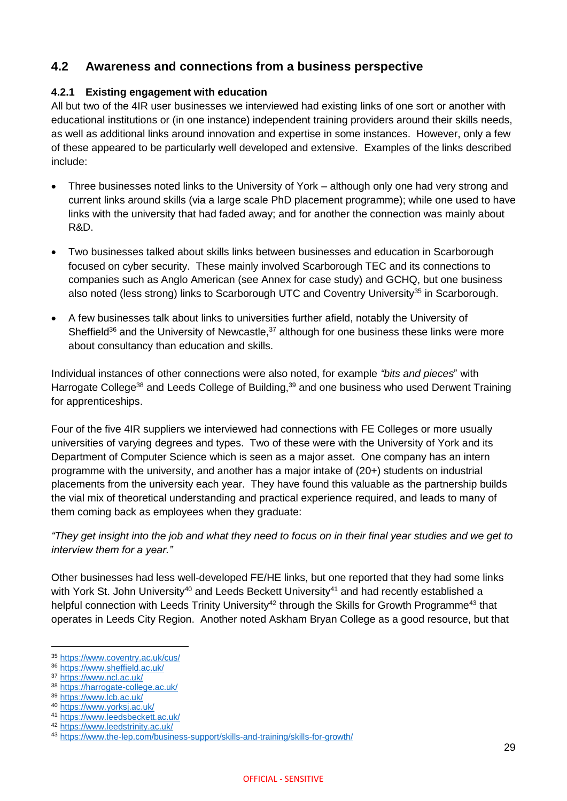### <span id="page-29-0"></span>**4.2 Awareness and connections from a business perspective**

#### **4.2.1 Existing engagement with education**

All but two of the 4IR user businesses we interviewed had existing links of one sort or another with educational institutions or (in one instance) independent training providers around their skills needs, as well as additional links around innovation and expertise in some instances. However, only a few of these appeared to be particularly well developed and extensive. Examples of the links described include:

- Three businesses noted links to the University of York although only one had very strong and current links around skills (via a large scale PhD placement programme); while one used to have links with the university that had faded away; and for another the connection was mainly about R&D.
- Two businesses talked about skills links between businesses and education in Scarborough focused on cyber security. These mainly involved Scarborough TEC and its connections to companies such as Anglo American (see Annex for case study) and GCHQ, but one business also noted (less strong) links to Scarborough UTC and Coventry University<sup>35</sup> in Scarborough.
- A few businesses talk about links to universities further afield, notably the University of Sheffield<sup>36</sup> and the University of Newcastle,<sup>37</sup> although for one business these links were more about consultancy than education and skills.

Individual instances of other connections were also noted, for example *"bits and pieces*" with Harrogate College<sup>38</sup> and Leeds College of Building,<sup>39</sup> and one business who used Derwent Training for apprenticeships.

Four of the five 4IR suppliers we interviewed had connections with FE Colleges or more usually universities of varying degrees and types. Two of these were with the University of York and its Department of Computer Science which is seen as a major asset. One company has an intern programme with the university, and another has a major intake of (20+) students on industrial placements from the university each year. They have found this valuable as the partnership builds the vial mix of theoretical understanding and practical experience required, and leads to many of them coming back as employees when they graduate:

*"They get insight into the job and what they need to focus on in their final year studies and we get to interview them for a year."*

Other businesses had less well-developed FE/HE links, but one reported that they had some links with York St. John University<sup>40</sup> and Leeds Beckett University<sup>41</sup> and had recently established a helpful connection with Leeds Trinity University<sup>42</sup> through the Skills for Growth Programme<sup>43</sup> that operates in Leeds City Region. Another noted Askham Bryan College as a good resource, but that

<sup>38</sup> <https://harrogate-college.ac.uk/>

<sup>41</sup> <https://www.leedsbeckett.ac.uk/>

<sup>35</sup> <https://www.coventry.ac.uk/cus/>

<sup>36</sup> <https://www.sheffield.ac.uk/>

<sup>37</sup> <https://www.ncl.ac.uk/>

<sup>39</sup> <https://www.lcb.ac.uk/>

<sup>40</sup> <https://www.yorksj.ac.uk/>

<sup>42</sup> <https://www.leedstrinity.ac.uk/>

<sup>43</sup> <https://www.the-lep.com/business-support/skills-and-training/skills-for-growth/>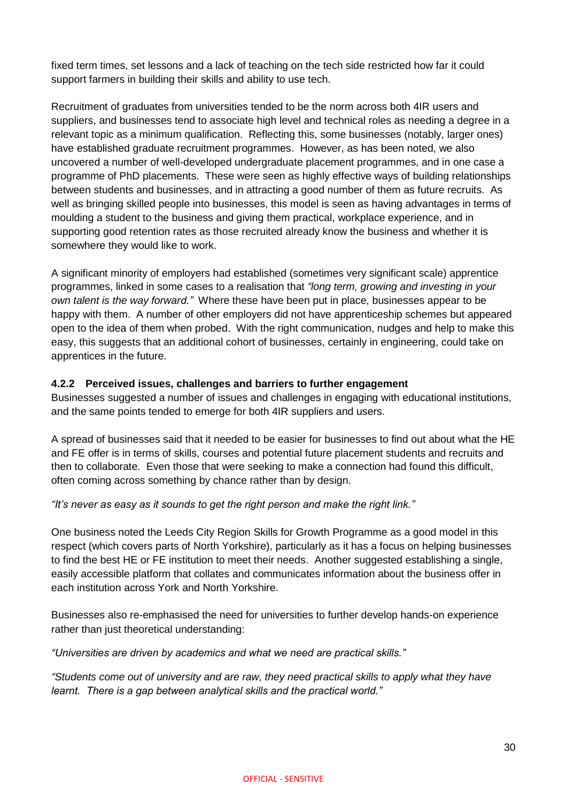fixed term times, set lessons and a lack of teaching on the tech side restricted how far it could support farmers in building their skills and ability to use tech.

Recruitment of graduates from universities tended to be the norm across both 4IR users and suppliers, and businesses tend to associate high level and technical roles as needing a degree in a relevant topic as a minimum qualification. Reflecting this, some businesses (notably, larger ones) have established graduate recruitment programmes. However, as has been noted, we also uncovered a number of well-developed undergraduate placement programmes, and in one case a programme of PhD placements. These were seen as highly effective ways of building relationships between students and businesses, and in attracting a good number of them as future recruits. As well as bringing skilled people into businesses, this model is seen as having advantages in terms of moulding a student to the business and giving them practical, workplace experience, and in supporting good retention rates as those recruited already know the business and whether it is somewhere they would like to work.

A significant minority of employers had established (sometimes very significant scale) apprentice programmes, linked in some cases to a realisation that *"long term, growing and investing in your own talent is the way forward."* Where these have been put in place, businesses appear to be happy with them. A number of other employers did not have apprenticeship schemes but appeared open to the idea of them when probed. With the right communication, nudges and help to make this easy, this suggests that an additional cohort of businesses, certainly in engineering, could take on apprentices in the future.

#### **4.2.2 Perceived issues, challenges and barriers to further engagement**

Businesses suggested a number of issues and challenges in engaging with educational institutions, and the same points tended to emerge for both 4IR suppliers and users.

A spread of businesses said that it needed to be easier for businesses to find out about what the HE and FE offer is in terms of skills, courses and potential future placement students and recruits and then to collaborate. Even those that were seeking to make a connection had found this difficult, often coming across something by chance rather than by design.

#### *"It's never as easy as it sounds to get the right person and make the right link."*

One business noted the Leeds City Region Skills for Growth Programme as a good model in this respect (which covers parts of North Yorkshire), particularly as it has a focus on helping businesses to find the best HE or FE institution to meet their needs. Another suggested establishing a single, easily accessible platform that collates and communicates information about the business offer in each institution across York and North Yorkshire.

Businesses also re-emphasised the need for universities to further develop hands-on experience rather than just theoretical understanding:

*"Universities are driven by academics and what we need are practical skills."*

*"Students come out of university and are raw, they need practical skills to apply what they have learnt. There is a gap between analytical skills and the practical world."*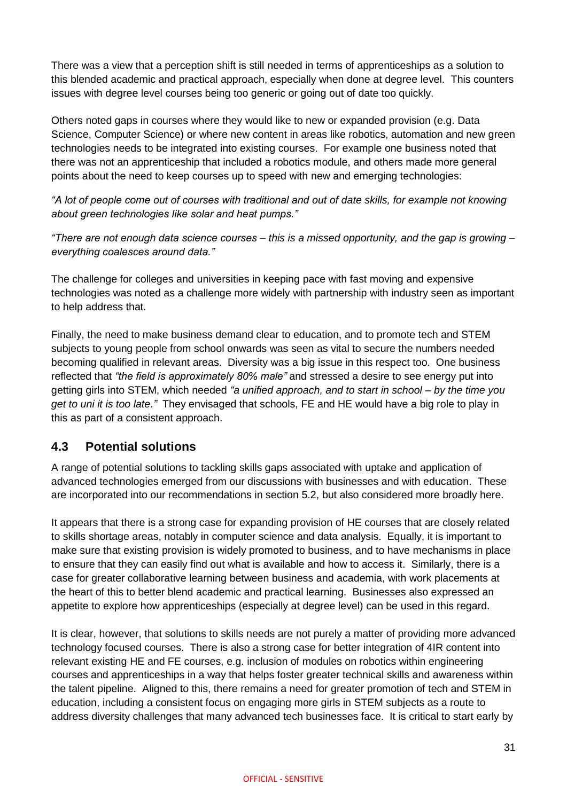There was a view that a perception shift is still needed in terms of apprenticeships as a solution to this blended academic and practical approach, especially when done at degree level. This counters issues with degree level courses being too generic or going out of date too quickly.

Others noted gaps in courses where they would like to new or expanded provision (e.g. Data Science, Computer Science) or where new content in areas like robotics, automation and new green technologies needs to be integrated into existing courses. For example one business noted that there was not an apprenticeship that included a robotics module, and others made more general points about the need to keep courses up to speed with new and emerging technologies:

*"A lot of people come out of courses with traditional and out of date skills, for example not knowing about green technologies like solar and heat pumps."*

*"There are not enough data science courses – this is a missed opportunity, and the gap is growing – everything coalesces around data."*

The challenge for colleges and universities in keeping pace with fast moving and expensive technologies was noted as a challenge more widely with partnership with industry seen as important to help address that.

Finally, the need to make business demand clear to education, and to promote tech and STEM subjects to young people from school onwards was seen as vital to secure the numbers needed becoming qualified in relevant areas. Diversity was a big issue in this respect too. One business reflected that *"the field is approximately 80% male"* and stressed a desire to see energy put into getting girls into STEM, which needed *"a unified approach, and to start in school – by the time you get to uni it is too late*.*"* They envisaged that schools, FE and HE would have a big role to play in this as part of a consistent approach.

### <span id="page-31-0"></span>**4.3 Potential solutions**

A range of potential solutions to tackling skills gaps associated with uptake and application of advanced technologies emerged from our discussions with businesses and with education. These are incorporated into our recommendations in section 5.2, but also considered more broadly here.

It appears that there is a strong case for expanding provision of HE courses that are closely related to skills shortage areas, notably in computer science and data analysis. Equally, it is important to make sure that existing provision is widely promoted to business, and to have mechanisms in place to ensure that they can easily find out what is available and how to access it. Similarly, there is a case for greater collaborative learning between business and academia, with work placements at the heart of this to better blend academic and practical learning. Businesses also expressed an appetite to explore how apprenticeships (especially at degree level) can be used in this regard.

It is clear, however, that solutions to skills needs are not purely a matter of providing more advanced technology focused courses. There is also a strong case for better integration of 4IR content into relevant existing HE and FE courses, e.g. inclusion of modules on robotics within engineering courses and apprenticeships in a way that helps foster greater technical skills and awareness within the talent pipeline. Aligned to this, there remains a need for greater promotion of tech and STEM in education, including a consistent focus on engaging more girls in STEM subjects as a route to address diversity challenges that many advanced tech businesses face. It is critical to start early by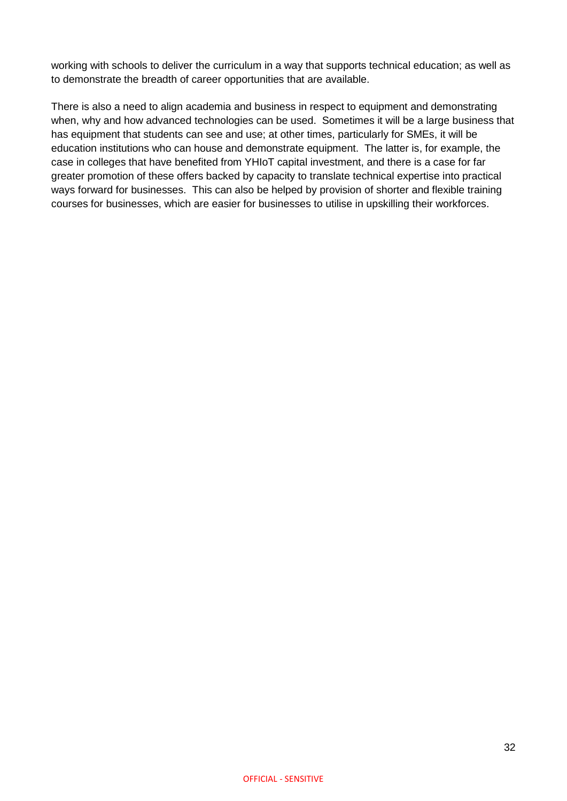working with schools to deliver the curriculum in a way that supports technical education; as well as to demonstrate the breadth of career opportunities that are available.

There is also a need to align academia and business in respect to equipment and demonstrating when, why and how advanced technologies can be used. Sometimes it will be a large business that has equipment that students can see and use; at other times, particularly for SMEs, it will be education institutions who can house and demonstrate equipment. The latter is, for example, the case in colleges that have benefited from YHIoT capital investment, and there is a case for far greater promotion of these offers backed by capacity to translate technical expertise into practical ways forward for businesses. This can also be helped by provision of shorter and flexible training courses for businesses, which are easier for businesses to utilise in upskilling their workforces.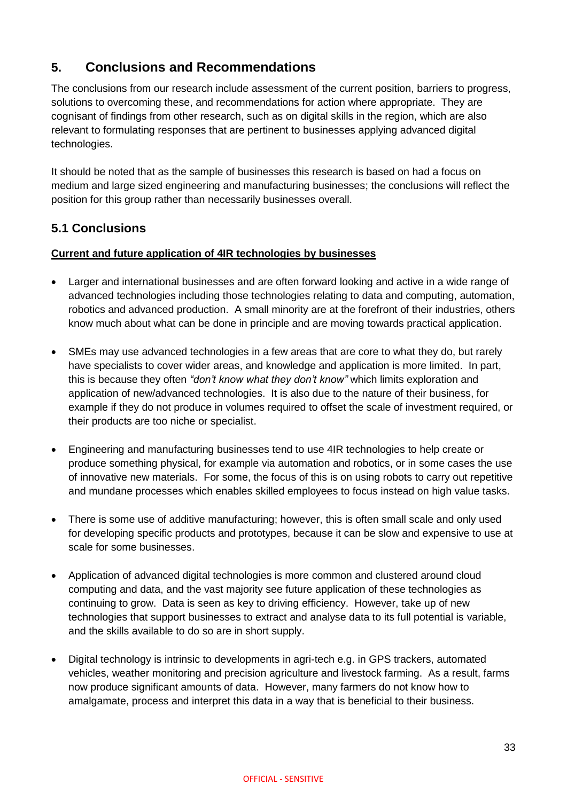# <span id="page-33-0"></span>**5. Conclusions and Recommendations**

The conclusions from our research include assessment of the current position, barriers to progress, solutions to overcoming these, and recommendations for action where appropriate. They are cognisant of findings from other research, such as on digital skills in the region, which are also relevant to formulating responses that are pertinent to businesses applying advanced digital technologies.

It should be noted that as the sample of businesses this research is based on had a focus on medium and large sized engineering and manufacturing businesses; the conclusions will reflect the position for this group rather than necessarily businesses overall.

### <span id="page-33-1"></span>**5.1 Conclusions**

### **Current and future application of 4IR technologies by businesses**

- Larger and international businesses and are often forward looking and active in a wide range of advanced technologies including those technologies relating to data and computing, automation, robotics and advanced production. A small minority are at the forefront of their industries, others know much about what can be done in principle and are moving towards practical application.
- SMEs may use advanced technologies in a few areas that are core to what they do, but rarely have specialists to cover wider areas, and knowledge and application is more limited. In part, this is because they often *"don't know what they don't know"* which limits exploration and application of new/advanced technologies. It is also due to the nature of their business, for example if they do not produce in volumes required to offset the scale of investment required, or their products are too niche or specialist.
- Engineering and manufacturing businesses tend to use 4IR technologies to help create or produce something physical, for example via automation and robotics, or in some cases the use of innovative new materials. For some, the focus of this is on using robots to carry out repetitive and mundane processes which enables skilled employees to focus instead on high value tasks.
- There is some use of additive manufacturing; however, this is often small scale and only used for developing specific products and prototypes, because it can be slow and expensive to use at scale for some businesses.
- Application of advanced digital technologies is more common and clustered around cloud computing and data, and the vast majority see future application of these technologies as continuing to grow. Data is seen as key to driving efficiency. However, take up of new technologies that support businesses to extract and analyse data to its full potential is variable, and the skills available to do so are in short supply.
- Digital technology is intrinsic to developments in agri-tech e.g. in GPS trackers, automated vehicles, weather monitoring and precision agriculture and livestock farming. As a result, farms now produce significant amounts of data. However, many farmers do not know how to amalgamate, process and interpret this data in a way that is beneficial to their business.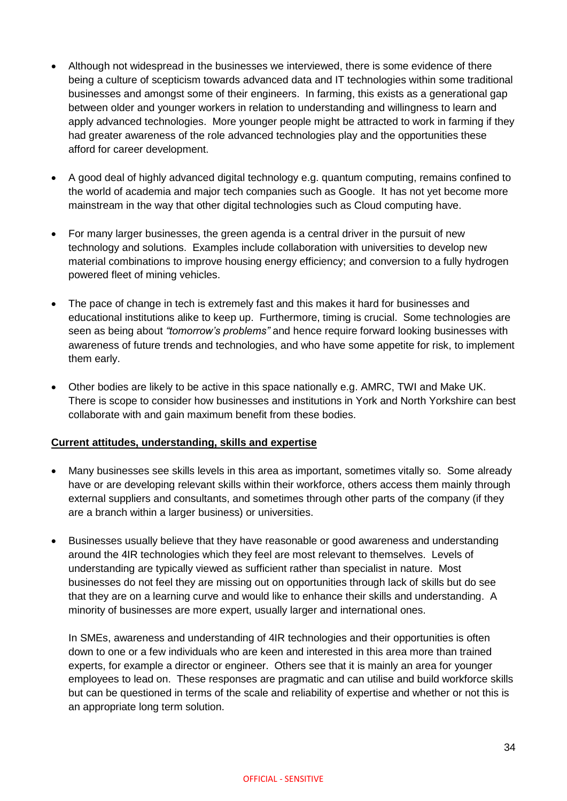- Although not widespread in the businesses we interviewed, there is some evidence of there being a culture of scepticism towards advanced data and IT technologies within some traditional businesses and amongst some of their engineers. In farming, this exists as a generational gap between older and younger workers in relation to understanding and willingness to learn and apply advanced technologies. More younger people might be attracted to work in farming if they had greater awareness of the role advanced technologies play and the opportunities these afford for career development.
- A good deal of highly advanced digital technology e.g. quantum computing, remains confined to the world of academia and major tech companies such as Google. It has not yet become more mainstream in the way that other digital technologies such as Cloud computing have.
- For many larger businesses, the green agenda is a central driver in the pursuit of new technology and solutions. Examples include collaboration with universities to develop new material combinations to improve housing energy efficiency; and conversion to a fully hydrogen powered fleet of mining vehicles.
- The pace of change in tech is extremely fast and this makes it hard for businesses and educational institutions alike to keep up. Furthermore, timing is crucial. Some technologies are seen as being about *"tomorrow's problems"* and hence require forward looking businesses with awareness of future trends and technologies, and who have some appetite for risk, to implement them early.
- Other bodies are likely to be active in this space nationally e.g. AMRC, TWI and Make UK. There is scope to consider how businesses and institutions in York and North Yorkshire can best collaborate with and gain maximum benefit from these bodies.

#### **Current attitudes, understanding, skills and expertise**

- Many businesses see skills levels in this area as important, sometimes vitally so. Some already have or are developing relevant skills within their workforce, others access them mainly through external suppliers and consultants, and sometimes through other parts of the company (if they are a branch within a larger business) or universities.
- Businesses usually believe that they have reasonable or good awareness and understanding around the 4IR technologies which they feel are most relevant to themselves. Levels of understanding are typically viewed as sufficient rather than specialist in nature. Most businesses do not feel they are missing out on opportunities through lack of skills but do see that they are on a learning curve and would like to enhance their skills and understanding. A minority of businesses are more expert, usually larger and international ones.

In SMEs, awareness and understanding of 4IR technologies and their opportunities is often down to one or a few individuals who are keen and interested in this area more than trained experts, for example a director or engineer. Others see that it is mainly an area for younger employees to lead on. These responses are pragmatic and can utilise and build workforce skills but can be questioned in terms of the scale and reliability of expertise and whether or not this is an appropriate long term solution.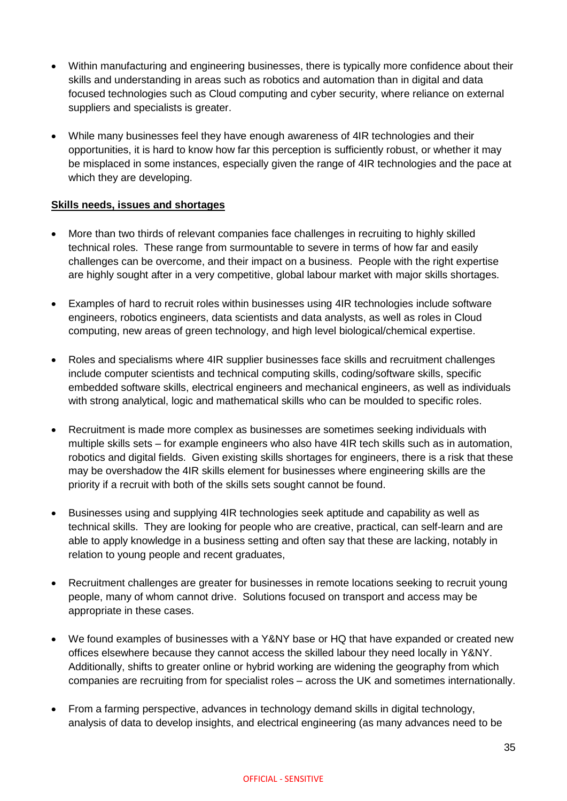- Within manufacturing and engineering businesses, there is typically more confidence about their skills and understanding in areas such as robotics and automation than in digital and data focused technologies such as Cloud computing and cyber security, where reliance on external suppliers and specialists is greater.
- While many businesses feel they have enough awareness of 4IR technologies and their opportunities, it is hard to know how far this perception is sufficiently robust, or whether it may be misplaced in some instances, especially given the range of 4IR technologies and the pace at which they are developing.

#### **Skills needs, issues and shortages**

- More than two thirds of relevant companies face challenges in recruiting to highly skilled technical roles. These range from surmountable to severe in terms of how far and easily challenges can be overcome, and their impact on a business. People with the right expertise are highly sought after in a very competitive, global labour market with major skills shortages.
- Examples of hard to recruit roles within businesses using 4IR technologies include software engineers, robotics engineers, data scientists and data analysts, as well as roles in Cloud computing, new areas of green technology, and high level biological/chemical expertise.
- Roles and specialisms where 4IR supplier businesses face skills and recruitment challenges include computer scientists and technical computing skills, coding/software skills, specific embedded software skills, electrical engineers and mechanical engineers, as well as individuals with strong analytical, logic and mathematical skills who can be moulded to specific roles.
- Recruitment is made more complex as businesses are sometimes seeking individuals with multiple skills sets – for example engineers who also have 4IR tech skills such as in automation, robotics and digital fields. Given existing skills shortages for engineers, there is a risk that these may be overshadow the 4IR skills element for businesses where engineering skills are the priority if a recruit with both of the skills sets sought cannot be found.
- Businesses using and supplying 4IR technologies seek aptitude and capability as well as technical skills. They are looking for people who are creative, practical, can self-learn and are able to apply knowledge in a business setting and often say that these are lacking, notably in relation to young people and recent graduates,
- Recruitment challenges are greater for businesses in remote locations seeking to recruit young people, many of whom cannot drive. Solutions focused on transport and access may be appropriate in these cases.
- We found examples of businesses with a Y&NY base or HQ that have expanded or created new offices elsewhere because they cannot access the skilled labour they need locally in Y&NY. Additionally, shifts to greater online or hybrid working are widening the geography from which companies are recruiting from for specialist roles – across the UK and sometimes internationally.
- From a farming perspective, advances in technology demand skills in digital technology, analysis of data to develop insights, and electrical engineering (as many advances need to be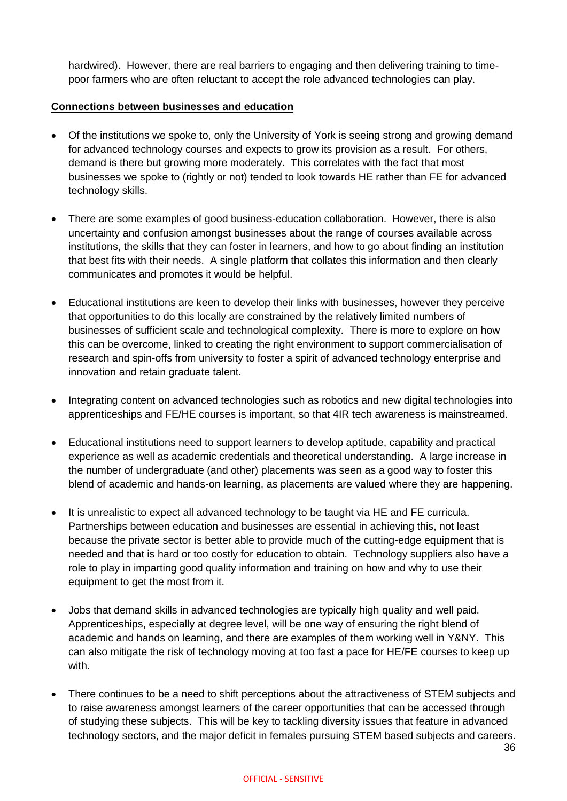hardwired). However, there are real barriers to engaging and then delivering training to timepoor farmers who are often reluctant to accept the role advanced technologies can play.

#### **Connections between businesses and education**

- Of the institutions we spoke to, only the University of York is seeing strong and growing demand for advanced technology courses and expects to grow its provision as a result. For others, demand is there but growing more moderately. This correlates with the fact that most businesses we spoke to (rightly or not) tended to look towards HE rather than FE for advanced technology skills.
- There are some examples of good business-education collaboration. However, there is also uncertainty and confusion amongst businesses about the range of courses available across institutions, the skills that they can foster in learners, and how to go about finding an institution that best fits with their needs. A single platform that collates this information and then clearly communicates and promotes it would be helpful.
- Educational institutions are keen to develop their links with businesses, however they perceive that opportunities to do this locally are constrained by the relatively limited numbers of businesses of sufficient scale and technological complexity. There is more to explore on how this can be overcome, linked to creating the right environment to support commercialisation of research and spin-offs from university to foster a spirit of advanced technology enterprise and innovation and retain graduate talent.
- Integrating content on advanced technologies such as robotics and new digital technologies into apprenticeships and FE/HE courses is important, so that 4IR tech awareness is mainstreamed.
- Educational institutions need to support learners to develop aptitude, capability and practical experience as well as academic credentials and theoretical understanding. A large increase in the number of undergraduate (and other) placements was seen as a good way to foster this blend of academic and hands-on learning, as placements are valued where they are happening.
- It is unrealistic to expect all advanced technology to be taught via HE and FE curricula. Partnerships between education and businesses are essential in achieving this, not least because the private sector is better able to provide much of the cutting-edge equipment that is needed and that is hard or too costly for education to obtain. Technology suppliers also have a role to play in imparting good quality information and training on how and why to use their equipment to get the most from it.
- Jobs that demand skills in advanced technologies are typically high quality and well paid. Apprenticeships, especially at degree level, will be one way of ensuring the right blend of academic and hands on learning, and there are examples of them working well in Y&NY. This can also mitigate the risk of technology moving at too fast a pace for HE/FE courses to keep up with.
- There continues to be a need to shift perceptions about the attractiveness of STEM subjects and to raise awareness amongst learners of the career opportunities that can be accessed through of studying these subjects. This will be key to tackling diversity issues that feature in advanced technology sectors, and the major deficit in females pursuing STEM based subjects and careers.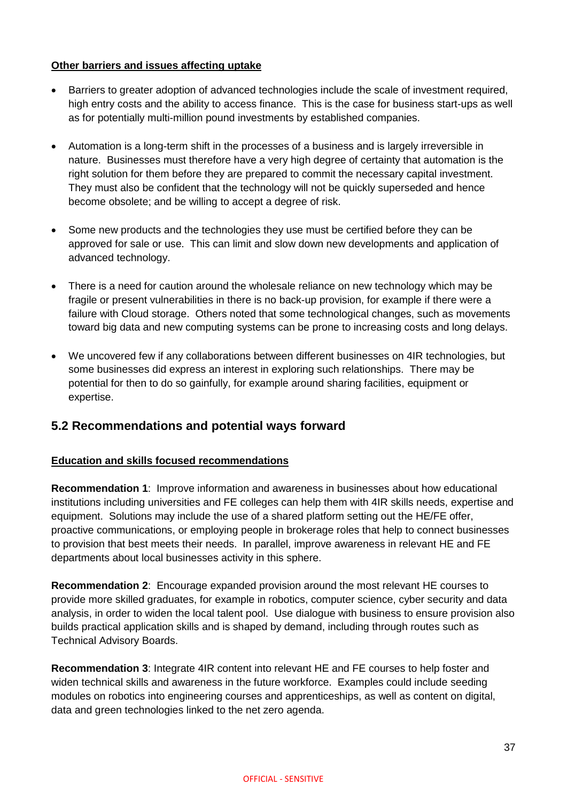### **Other barriers and issues affecting uptake**

- Barriers to greater adoption of advanced technologies include the scale of investment required, high entry costs and the ability to access finance. This is the case for business start-ups as well as for potentially multi-million pound investments by established companies.
- Automation is a long-term shift in the processes of a business and is largely irreversible in nature. Businesses must therefore have a very high degree of certainty that automation is the right solution for them before they are prepared to commit the necessary capital investment. They must also be confident that the technology will not be quickly superseded and hence become obsolete; and be willing to accept a degree of risk.
- Some new products and the technologies they use must be certified before they can be approved for sale or use. This can limit and slow down new developments and application of advanced technology.
- There is a need for caution around the wholesale reliance on new technology which may be fragile or present vulnerabilities in there is no back-up provision, for example if there were a failure with Cloud storage. Others noted that some technological changes, such as movements toward big data and new computing systems can be prone to increasing costs and long delays.
- We uncovered few if any collaborations between different businesses on 4IR technologies, but some businesses did express an interest in exploring such relationships. There may be potential for then to do so gainfully, for example around sharing facilities, equipment or expertise.

### <span id="page-37-0"></span>**5.2 Recommendations and potential ways forward**

#### **Education and skills focused recommendations**

**Recommendation 1**: Improve information and awareness in businesses about how educational institutions including universities and FE colleges can help them with 4IR skills needs, expertise and equipment. Solutions may include the use of a shared platform setting out the HE/FE offer, proactive communications, or employing people in brokerage roles that help to connect businesses to provision that best meets their needs. In parallel, improve awareness in relevant HE and FE departments about local businesses activity in this sphere.

**Recommendation 2**: Encourage expanded provision around the most relevant HE courses to provide more skilled graduates, for example in robotics, computer science, cyber security and data analysis, in order to widen the local talent pool. Use dialogue with business to ensure provision also builds practical application skills and is shaped by demand, including through routes such as Technical Advisory Boards.

**Recommendation 3**: Integrate 4IR content into relevant HE and FE courses to help foster and widen technical skills and awareness in the future workforce. Examples could include seeding modules on robotics into engineering courses and apprenticeships, as well as content on digital, data and green technologies linked to the net zero agenda.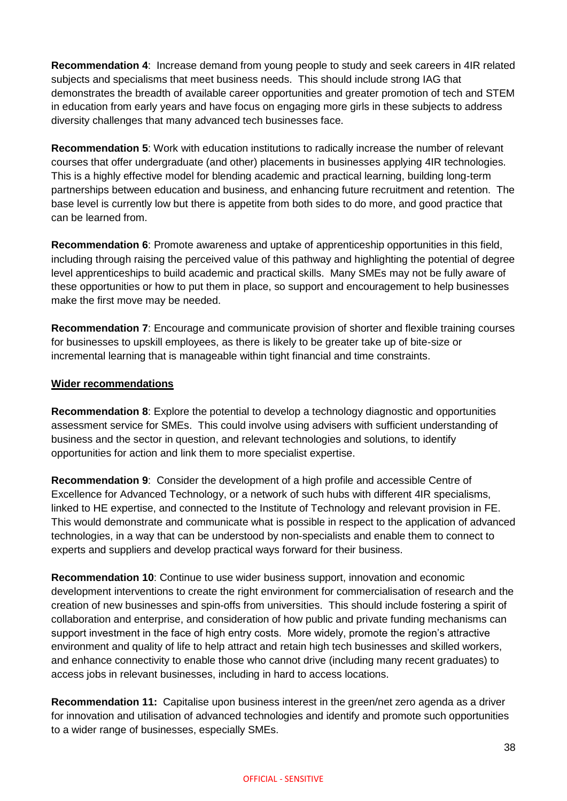**Recommendation 4**: Increase demand from young people to study and seek careers in 4IR related subjects and specialisms that meet business needs. This should include strong IAG that demonstrates the breadth of available career opportunities and greater promotion of tech and STEM in education from early years and have focus on engaging more girls in these subjects to address diversity challenges that many advanced tech businesses face.

**Recommendation 5**: Work with education institutions to radically increase the number of relevant courses that offer undergraduate (and other) placements in businesses applying 4IR technologies. This is a highly effective model for blending academic and practical learning, building long-term partnerships between education and business, and enhancing future recruitment and retention. The base level is currently low but there is appetite from both sides to do more, and good practice that can be learned from.

**Recommendation 6**: Promote awareness and uptake of apprenticeship opportunities in this field, including through raising the perceived value of this pathway and highlighting the potential of degree level apprenticeships to build academic and practical skills. Many SMEs may not be fully aware of these opportunities or how to put them in place, so support and encouragement to help businesses make the first move may be needed.

**Recommendation 7**: Encourage and communicate provision of shorter and flexible training courses for businesses to upskill employees, as there is likely to be greater take up of bite-size or incremental learning that is manageable within tight financial and time constraints.

#### **Wider recommendations**

**Recommendation 8**: Explore the potential to develop a technology diagnostic and opportunities assessment service for SMEs. This could involve using advisers with sufficient understanding of business and the sector in question, and relevant technologies and solutions, to identify opportunities for action and link them to more specialist expertise.

**Recommendation 9**:Consider the development of a high profile and accessible Centre of Excellence for Advanced Technology, or a network of such hubs with different 4IR specialisms, linked to HE expertise, and connected to the Institute of Technology and relevant provision in FE. This would demonstrate and communicate what is possible in respect to the application of advanced technologies, in a way that can be understood by non-specialists and enable them to connect to experts and suppliers and develop practical ways forward for their business.

**Recommendation 10**: Continue to use wider business support, innovation and economic development interventions to create the right environment for commercialisation of research and the creation of new businesses and spin-offs from universities. This should include fostering a spirit of collaboration and enterprise, and consideration of how public and private funding mechanisms can support investment in the face of high entry costs. More widely, promote the region's attractive environment and quality of life to help attract and retain high tech businesses and skilled workers, and enhance connectivity to enable those who cannot drive (including many recent graduates) to access jobs in relevant businesses, including in hard to access locations.

**Recommendation 11:** Capitalise upon business interest in the green/net zero agenda as a driver for innovation and utilisation of advanced technologies and identify and promote such opportunities to a wider range of businesses, especially SMEs.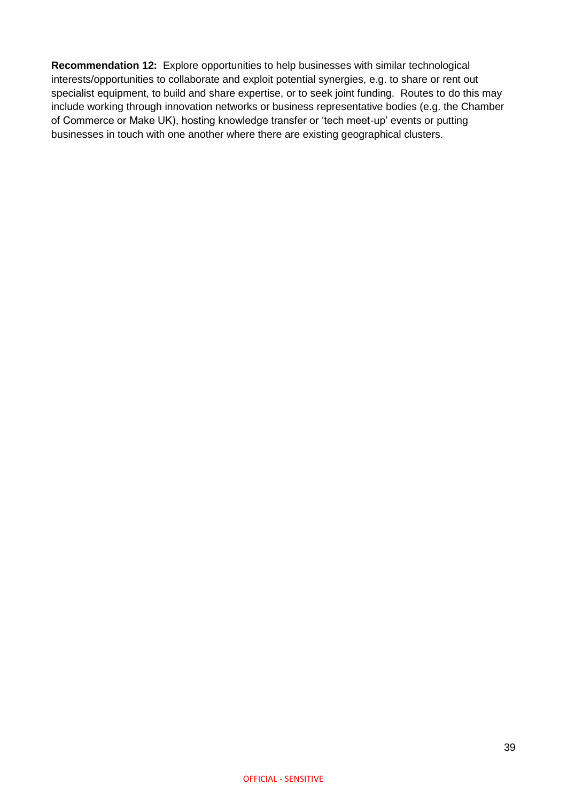**Recommendation 12:** Explore opportunities to help businesses with similar technological interests/opportunities to collaborate and exploit potential synergies, e.g. to share or rent out specialist equipment, to build and share expertise, or to seek joint funding. Routes to do this may include working through innovation networks or business representative bodies (e.g. the Chamber of Commerce or Make UK), hosting knowledge transfer or 'tech meet-up' events or putting businesses in touch with one another where there are existing geographical clusters.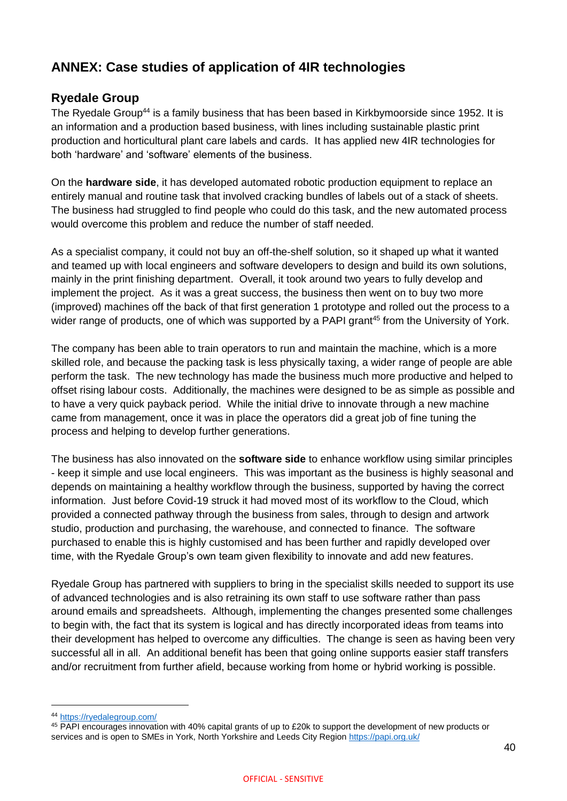# <span id="page-40-0"></span>**ANNEX: Case studies of application of 4IR technologies**

### **Ryedale Group**

The Ryedale Group<sup>44</sup> is a family business that has been based in Kirkbymoorside since 1952. It is an information and a production based business, with lines including sustainable plastic print production and horticultural plant care labels and cards. It has applied new 4IR technologies for both 'hardware' and 'software' elements of the business.

On the **hardware side**, it has developed automated robotic production equipment to replace an entirely manual and routine task that involved cracking bundles of labels out of a stack of sheets. The business had struggled to find people who could do this task, and the new automated process would overcome this problem and reduce the number of staff needed.

As a specialist company, it could not buy an off-the-shelf solution, so it shaped up what it wanted and teamed up with local engineers and software developers to design and build its own solutions, mainly in the print finishing department. Overall, it took around two years to fully develop and implement the project. As it was a great success, the business then went on to buy two more (improved) machines off the back of that first generation 1 prototype and rolled out the process to a wider range of products, one of which was supported by a PAPI grant<sup>45</sup> from the University of York.

The company has been able to train operators to run and maintain the machine, which is a more skilled role, and because the packing task is less physically taxing, a wider range of people are able perform the task. The new technology has made the business much more productive and helped to offset rising labour costs. Additionally, the machines were designed to be as simple as possible and to have a very quick payback period. While the initial drive to innovate through a new machine came from management, once it was in place the operators did a great job of fine tuning the process and helping to develop further generations.

The business has also innovated on the **software side** to enhance workflow using similar principles - keep it simple and use local engineers. This was important as the business is highly seasonal and depends on maintaining a healthy workflow through the business, supported by having the correct information. Just before Covid-19 struck it had moved most of its workflow to the Cloud, which provided a connected pathway through the business from sales, through to design and artwork studio, production and purchasing, the warehouse, and connected to finance. The software purchased to enable this is highly customised and has been further and rapidly developed over time, with the Ryedale Group's own team given flexibility to innovate and add new features.

Ryedale Group has partnered with suppliers to bring in the specialist skills needed to support its use of advanced technologies and is also retraining its own staff to use software rather than pass around emails and spreadsheets. Although, implementing the changes presented some challenges to begin with, the fact that its system is logical and has directly incorporated ideas from teams into their development has helped to overcome any difficulties. The change is seen as having been very successful all in all. An additional benefit has been that going online supports easier staff transfers and/or recruitment from further afield, because working from home or hybrid working is possible.

 $\overline{a}$ 

<sup>44</sup> <https://ryedalegroup.com/>

<sup>45</sup> PAPI encourages innovation with 40% capital grants of up to £20k to support the development of new products or services and is open to SMEs in York, North Yorkshire and Leeds City Region<https://papi.org.uk/>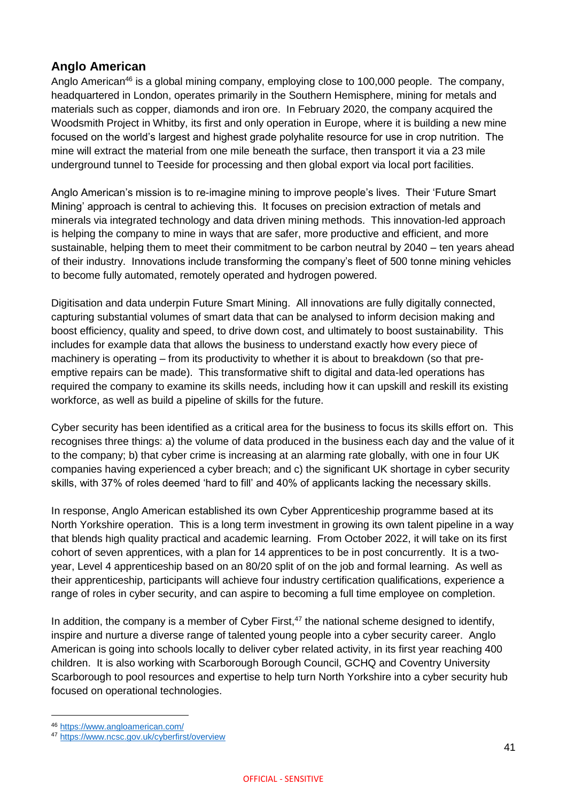### **Anglo American**

Anglo American<sup>46</sup> is a global mining company, employing close to 100,000 people. The company, headquartered in London, operates primarily in the Southern Hemisphere, mining for metals and materials such as copper, diamonds and iron ore. In February 2020, the company acquired the Woodsmith Project in Whitby, its first and only operation in Europe, where it is building a new mine focused on the world's largest and highest grade polyhalite resource for use in crop nutrition. The mine will extract the material from one mile beneath the surface, then transport it via a 23 mile underground tunnel to Teeside for processing and then global export via local port facilities.

Anglo American's mission is to re-imagine mining to improve people's lives. Their 'Future Smart Mining' approach is central to achieving this. It focuses on precision extraction of metals and minerals via integrated technology and data driven mining methods. This innovation-led approach is helping the company to mine in ways that are safer, more productive and efficient, and more sustainable, helping them to meet their commitment to be carbon neutral by 2040 – ten years ahead of their industry. Innovations include transforming the company's fleet of 500 tonne mining vehicles to become fully automated, remotely operated and hydrogen powered.

Digitisation and data underpin Future Smart Mining. All innovations are fully digitally connected, capturing substantial volumes of smart data that can be analysed to inform decision making and boost efficiency, quality and speed, to drive down cost, and ultimately to boost sustainability. This includes for example data that allows the business to understand exactly how every piece of machinery is operating – from its productivity to whether it is about to breakdown (so that preemptive repairs can be made). This transformative shift to digital and data-led operations has required the company to examine its skills needs, including how it can upskill and reskill its existing workforce, as well as build a pipeline of skills for the future.

Cyber security has been identified as a critical area for the business to focus its skills effort on. This recognises three things: a) the volume of data produced in the business each day and the value of it to the company; b) that cyber crime is increasing at an alarming rate globally, with one in four UK companies having experienced a cyber breach; and c) the significant UK shortage in cyber security skills, with 37% of roles deemed 'hard to fill' and 40% of applicants lacking the necessary skills.

In response, Anglo American established its own Cyber Apprenticeship programme based at its North Yorkshire operation. This is a long term investment in growing its own talent pipeline in a way that blends high quality practical and academic learning. From October 2022, it will take on its first cohort of seven apprentices, with a plan for 14 apprentices to be in post concurrently. It is a twoyear, Level 4 apprenticeship based on an 80/20 split of on the job and formal learning. As well as their apprenticeship, participants will achieve four industry certification qualifications, experience a range of roles in cyber security, and can aspire to becoming a full time employee on completion.

In addition, the company is a member of Cyber First.<sup>47</sup> the national scheme designed to identify, inspire and nurture a diverse range of talented young people into a cyber security career. Anglo American is going into schools locally to deliver cyber related activity, in its first year reaching 400 children. It is also working with Scarborough Borough Council, GCHQ and Coventry University Scarborough to pool resources and expertise to help turn North Yorkshire into a cyber security hub focused on operational technologies.

<sup>46</sup> <https://www.angloamerican.com/>

<sup>47</sup> <https://www.ncsc.gov.uk/cyberfirst/overview>